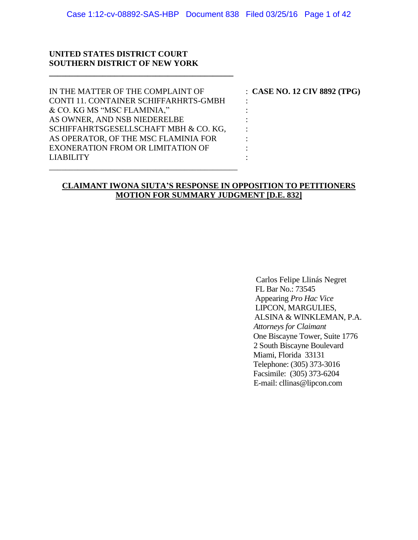#### **UNITED STATES DISTRICT COURT SOUTHERN DISTRICT OF NEW YORK**

**\_\_\_\_\_\_\_\_\_\_\_\_\_\_\_\_\_\_\_\_\_\_\_\_\_\_\_\_\_\_\_\_\_\_\_\_\_\_\_\_\_\_\_\_\_**

| IN THE MATTER OF THE COMPLAINT OF        | $\therefore$ CASE NO. 12 CIV 8892 (TPG) |
|------------------------------------------|-----------------------------------------|
| CONTI 11. CONTAINER SCHIFFARHRTS-GMBH    |                                         |
| & CO. KG MS "MSC FLAMINIA,"              |                                         |
| AS OWNER, AND NSB NIEDERELBE             |                                         |
| SCHIFFAHRTSGESELLSCHAFT MBH & CO. KG,    |                                         |
| AS OPERATOR, OF THE MSC FLAMINIA FOR     |                                         |
| <b>EXONERATION FROM OR LIMITATION OF</b> |                                         |
| <b>LIABILITY</b>                         |                                         |
|                                          |                                         |

## **CLAIMANT IWONA SIUTA'S RESPONSE IN OPPOSITION TO PETITIONERS MOTION FOR SUMMARY JUDGMENT [D.E. 832]**

 Carlos Felipe Llinás Negret FL Bar No.: 73545 Appearing *Pro Hac Vice* LIPCON, MARGULIES, ALSINA & WINKLEMAN, P.A.  *Attorneys for Claimant* One Biscayne Tower, Suite 1776 2 South Biscayne Boulevard Miami, Florida 33131 Telephone: (305) 373-3016 Facsimile: (305) 373-6204 E-mail: cllinas@lipcon.com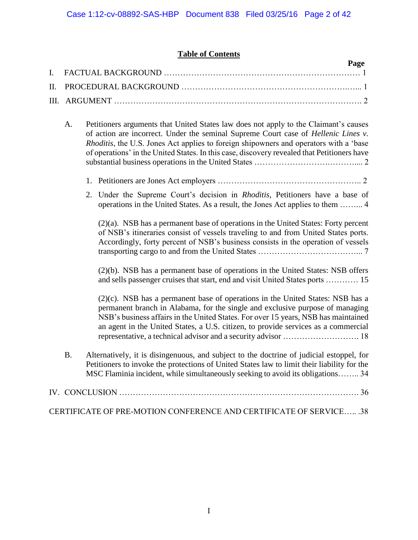# **Table of Contents**

|  | Page |  |
|--|------|--|
|  |      |  |
|  |      |  |
|  |      |  |

- A. Petitioners arguments that United States law does not apply to the Claimant's causes of action are incorrect. Under the seminal Supreme Court case of *Hellenic Lines v. Rhoditis*, the U.S. Jones Act applies to foreign shipowners and operators with a 'base of operations' in the United States. In this case, discovery revealed that Petitioners have substantial business operations in the United States ……………………….……….... 2
	- 1. Petitioners are Jones Act employers …………………………………………….. 2
	- 2. Under the Supreme Court's decision in *Rhoditis*, Petitioners have a base of operations in the United States. As a result, the Jones Act applies to them ……... 4

(2)(a). NSB has a permanent base of operations in the United States: Forty percent of NSB's itineraries consist of vessels traveling to and from United States ports. Accordingly, forty percent of NSB's business consists in the operation of vessels transporting cargo to and from the United States ………………………………... 7

(2)(b). NSB has a permanent base of operations in the United States: NSB offers and sells passenger cruises that start, end and visit United States ports ………… 15

(2)(c). NSB has a permanent base of operations in the United States: NSB has a permanent branch in Alabama, for the single and exclusive purpose of managing NSB's business affairs in the United States. For over 15 years, NSB has maintained an agent in the United States, a U.S. citizen, to provide services as a commercial representative, a technical advisor and a security advisor ………………………. 18

B. Alternatively, it is disingenuous, and subject to the doctrine of judicial estoppel, for Petitioners to invoke the protections of United States law to limit their liability for the MSC Flaminia incident, while simultaneously seeking to avoid its obligations…….. 34

| CERTIFICATE OF PRE-MOTION CONFERENCE AND CERTIFICATE OF SERVICE .38 |  |
|---------------------------------------------------------------------|--|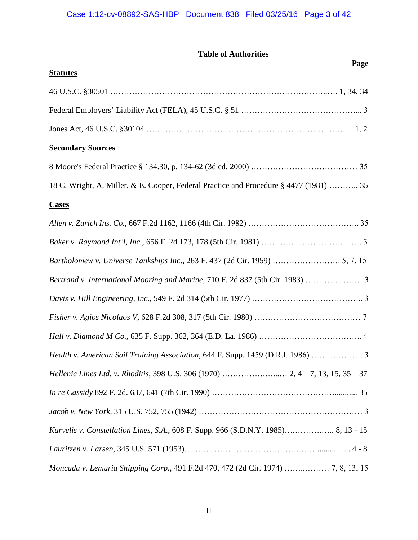# Case 1:12-cv-08892-SAS-HBP Document 838 Filed 03/25/16 Page 3 of 42

# **Table of Authorities**

| Page                                                                                   |
|----------------------------------------------------------------------------------------|
| <b>Statutes</b>                                                                        |
|                                                                                        |
|                                                                                        |
|                                                                                        |
| <b>Secondary Sources</b>                                                               |
|                                                                                        |
| 18 C. Wright, A. Miller, & E. Cooper, Federal Practice and Procedure § 4477 (1981)  35 |
| <b>Cases</b>                                                                           |
|                                                                                        |
|                                                                                        |
|                                                                                        |
| Bertrand v. International Mooring and Marine, 710 F. 2d 837 (5th Cir. 1983)            |
|                                                                                        |
|                                                                                        |
|                                                                                        |
| Health v. American Sail Training Association, 644 F. Supp. 1459 (D.R.I. 1986)          |
|                                                                                        |
|                                                                                        |
|                                                                                        |
| Karvelis v. Constellation Lines, S.A., 608 F. Supp. 966 (S.D.N.Y. 1985) 8, 13 - 15     |
|                                                                                        |
| Moncada v. Lemuria Shipping Corp., 491 F.2d 470, 472 (2d Cir. 1974)  7, 8, 13, 15      |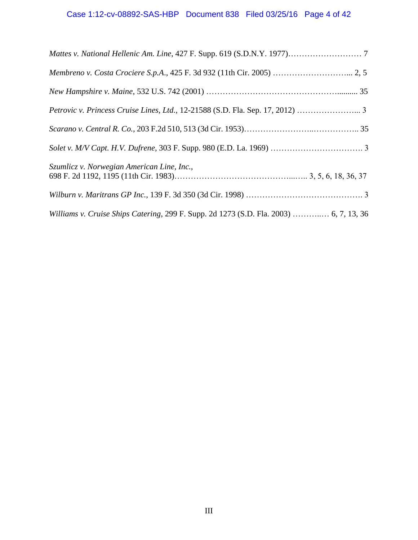# Case 1:12-cv-08892-SAS-HBP Document 838 Filed 03/25/16 Page 4 of 42

| Membreno v. Costa Crociere S.p.A., 425 F. 3d 932 (11th Cir. 2005)  2, 5                |  |
|----------------------------------------------------------------------------------------|--|
|                                                                                        |  |
|                                                                                        |  |
|                                                                                        |  |
|                                                                                        |  |
| Szumlicz v. Norwegian American Line, Inc.,                                             |  |
|                                                                                        |  |
| Williams v. Cruise Ships Catering, 299 F. Supp. 2d 1273 (S.D. Fla. 2003)  6, 7, 13, 36 |  |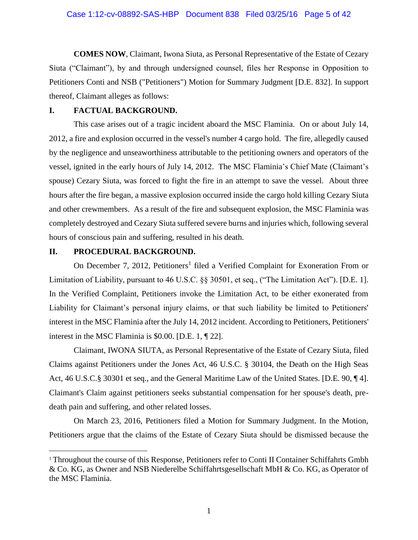**COMES NOW**, Claimant, Iwona Siuta, as Personal Representative of the Estate of Cezary Siuta ("Claimant"), by and through undersigned counsel, files her Response in Opposition to Petitioners Conti and NSB ("Petitioners") Motion for Summary Judgment [D.E. 832]. In support thereof, Claimant alleges as follows:

#### **I. FACTUAL BACKGROUND.**

This case arises out of a tragic incident aboard the MSC Flaminia. On or about July 14, 2012, a fire and explosion occurred in the vessel's number 4 cargo hold. The fire, allegedly caused by the negligence and unseaworthiness attributable to the petitioning owners and operators of the vessel, ignited in the early hours of July 14, 2012. The MSC Flaminia's Chief Mate (Claimant's spouse) Cezary Siuta, was forced to fight the fire in an attempt to save the vessel. About three hours after the fire began, a massive explosion occurred inside the cargo hold killing Cezary Siuta and other crewmembers. As a result of the fire and subsequent explosion, the MSC Flaminia was completely destroyed and Cezary Siuta suffered severe burns and injuries which, following several hours of conscious pain and suffering, resulted in his death.

# **II. PROCEDURAL BACKGROUND.**

 $\overline{a}$ 

On December 7, 2012, Petitioners<sup>1</sup> filed a Verified Complaint for Exoneration From or Limitation of Liability, pursuant to 46 U.S.C. §§ 30501, et seq., ("The Limitation Act"). [D.E. 1]. In the Verified Complaint, Petitioners invoke the Limitation Act, to be either exonerated from Liability for Claimant's personal injury claims, or that such liability be limited to Petitioners' interest in the MSC Flaminia after the July 14, 2012 incident. According to Petitioners, Petitioners' interest in the MSC Flaminia is \$0.00. [D.E. 1, ¶ 22].

Claimant, IWONA SIUTA, as Personal Representative of the Estate of Cezary Siuta, filed Claims against Petitioners under the Jones Act, 46 U.S.C. § 30104, the Death on the High Seas Act, 46 U.S.C.§ 30301 et seq., and the General Maritime Law of the United States. [D.E. 90, ¶ 4]. Claimant's Claim against petitioners seeks substantial compensation for her spouse's death, predeath pain and suffering, and other related losses.

On March 23, 2016, Petitioners filed a Motion for Summary Judgment. In the Motion, Petitioners argue that the claims of the Estate of Cezary Siuta should be dismissed because the

<sup>&</sup>lt;sup>1</sup> Throughout the course of this Response, Petitioners refer to Conti II Container Schiffahrts Gmbh & Co. KG, as Owner and NSB Niederelbe Schiffahrtsgesellschaft MbH & Co. KG, as Operator of the MSC Flaminia.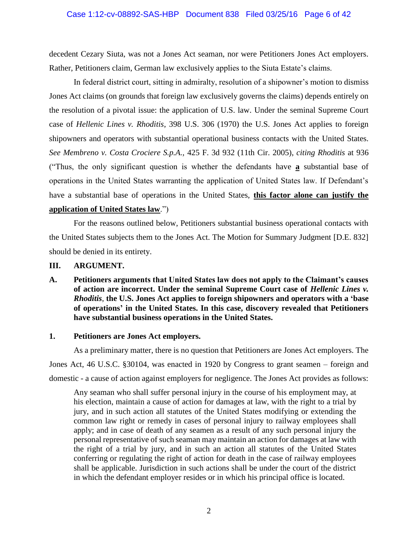decedent Cezary Siuta, was not a Jones Act seaman, nor were Petitioners Jones Act employers. Rather, Petitioners claim, German law exclusively applies to the Siuta Estate's claims.

In federal district court, sitting in admiralty, resolution of a shipowner's motion to dismiss Jones Act claims (on grounds that foreign law exclusively governs the claims) depends entirely on the resolution of a pivotal issue: the application of U.S. law. Under the seminal Supreme Court case of *Hellenic Lines v. Rhoditis*, 398 U.S. 306 (1970) the U.S. Jones Act applies to foreign shipowners and operators with substantial operational business contacts with the United States. *See Membreno v. Costa Crociere S.p.A.,* 425 F. 3d 932 (11th Cir. 2005), *citing Rhoditis* at 936 ("Thus, the only significant question is whether the defendants have **a** substantial base of operations in the United States warranting the application of United States law. If Defendant's have a substantial base of operations in the United States, **this factor alone can justify the application of United States law**.")

For the reasons outlined below, Petitioners substantial business operational contacts with the United States subjects them to the Jones Act. The Motion for Summary Judgment [D.E. 832] should be denied in its entirety.

#### **III. ARGUMENT.**

**A. Petitioners arguments that United States law does not apply to the Claimant's causes of action are incorrect. Under the seminal Supreme Court case of** *Hellenic Lines v. Rhoditis*, **the U.S. Jones Act applies to foreign shipowners and operators with a 'base of operations' in the United States. In this case, discovery revealed that Petitioners have substantial business operations in the United States.** 

#### **1. Petitioners are Jones Act employers.**

As a preliminary matter, there is no question that Petitioners are Jones Act employers. The Jones Act, 46 U.S.C. §30104, was enacted in 1920 by Congress to grant seamen – foreign and domestic - a cause of action against employers for negligence. The Jones Act provides as follows:

Any seaman who shall suffer personal injury in the course of his employment may, at his election, maintain a cause of action for damages at law, with the right to a trial by jury, and in such action all statutes of the United States modifying or extending the common law right or remedy in cases of personal injury to railway employees shall apply; and in case of death of any seamen as a result of any such personal injury the personal representative of such seaman may maintain an action for damages at law with the right of a trial by jury, and in such an action all statutes of the United States conferring or regulating the right of action for death in the case of railway employees shall be applicable. Jurisdiction in such actions shall be under the court of the district in which the defendant employer resides or in which his principal office is located.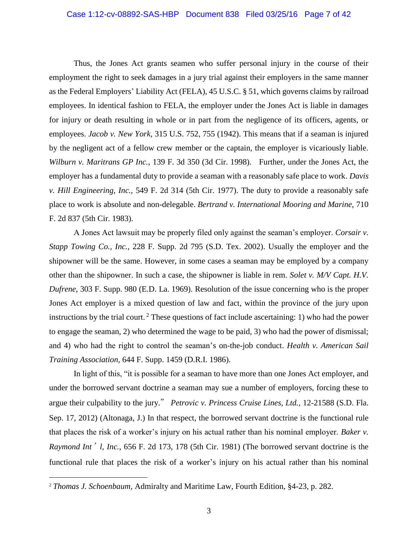#### Case 1:12-cv-08892-SAS-HBP Document 838 Filed 03/25/16 Page 7 of 42

Thus, the Jones Act grants seamen who suffer personal injury in the course of their employment the right to seek damages in a jury trial against their employers in the same manner as the Federal Employers' Liability Act (FELA), 45 U.S.C. § 51, which governs claims by railroad employees. In identical fashion to FELA, the employer under the Jones Act is liable in damages for injury or death resulting in whole or in part from the negligence of its officers, agents, or employees. *Jacob v. New York,* 315 U.S. 752, 755 (1942). This means that if a seaman is injured by the negligent act of a fellow crew member or the captain, the employer is vicariously liable. *Wilburn v. Maritrans GP Inc.,* 139 F. 3d 350 (3d Cir. 1998). Further, under the Jones Act, the employer has a fundamental duty to provide a seaman with a reasonably safe place to work. *Davis v. Hill Engineering, Inc.,* 549 F. 2d 314 (5th Cir. 1977). The duty to provide a reasonably safe place to work is absolute and non-delegable. *Bertrand v. International Mooring and Marine,* 710 F. 2d 837 (5th Cir. 1983).

A Jones Act lawsuit may be properly filed only against the seaman's employer. *Corsair v. Stapp Towing Co., Inc.,* 228 F. Supp. 2d 795 (S.D. Tex. 2002). Usually the employer and the shipowner will be the same. However, in some cases a seaman may be employed by a company other than the shipowner. In such a case, the shipowner is liable in rem. *Solet v. M/V Capt. H.V. Dufrene*, 303 F. Supp. 980 (E.D. La. 1969). Resolution of the issue concerning who is the proper Jones Act employer is a mixed question of law and fact, within the province of the jury upon instructions by the trial court.<sup>2</sup> These questions of fact include ascertaining: 1) who had the power to engage the seaman, 2) who determined the wage to be paid, 3) who had the power of dismissal; and 4) who had the right to control the seaman's on-the-job conduct. *Health v. American Sail Training Association,* 644 F. Supp. 1459 (D.R.I. 1986).

In light of this, "it is possible for a seaman to have more than one Jones Act employer, and under the borrowed servant doctrine a seaman may sue a number of employers, forcing these to argue their culpability to the jury." *Petrovic v. Princess Cruise Lines, Ltd.,* 12-21588 (S.D. Fla. Sep. 17, 2012) (Altonaga, J.) In that respect, the borrowed servant doctrine is the functional rule that places the risk of a worker's injury on his actual rather than his nominal employer. *Baker v. Raymond Int*'*l, Inc.*, 656 F. 2d 173, 178 (5th Cir. 1981) (The borrowed servant doctrine is the functional rule that places the risk of a worker's injury on his actual rather than his nominal

 $\overline{a}$ 

<sup>2</sup> *Thomas J. Schoenbaum,* Admiralty and Maritime Law, Fourth Edition, §4-23, p. 282.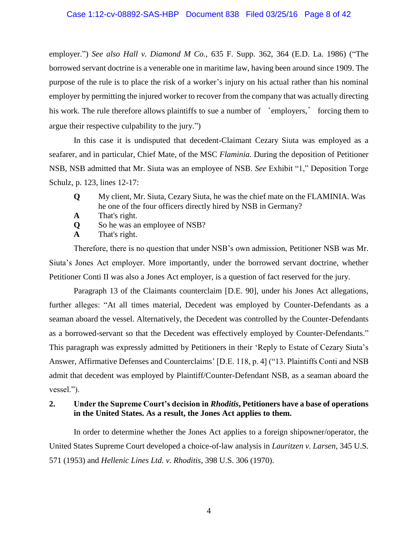employer.") *See also Hall v. Diamond M Co.,* 635 F. Supp. 362, 364 (E.D. La. 1986) ("The borrowed servant doctrine is a venerable one in maritime law, having been around since 1909. The purpose of the rule is to place the risk of a worker's injury on his actual rather than his nominal employer by permitting the injured worker to recover from the company that was actually directing his work. The rule therefore allows plaintiffs to sue a number of 'employers,' forcing them to argue their respective culpability to the jury.")

In this case it is undisputed that decedent-Claimant Cezary Siuta was employed as a seafarer, and in particular, Chief Mate, of the MSC *Flaminia.* During the deposition of Petitioner NSB, NSB admitted that Mr. Siuta was an employee of NSB. *See* Exhibit "1," Deposition Torge Schulz, p. 123, lines 12-17:

- **Q** My client, Mr. Siuta, Cezary Siuta, he was the chief mate on the FLAMINIA. Was he one of the four officers directly hired by NSB in Germany?
- **A** That's right.
- **Q** So he was an employee of NSB?
- **A** That's right.

Therefore, there is no question that under NSB's own admission, Petitioner NSB was Mr. Siuta's Jones Act employer. More importantly, under the borrowed servant doctrine, whether Petitioner Conti II was also a Jones Act employer, is a question of fact reserved for the jury.

Paragraph 13 of the Claimants counterclaim [D.E. 90], under his Jones Act allegations, further alleges: "At all times material, Decedent was employed by Counter-Defendants as a seaman aboard the vessel. Alternatively, the Decedent was controlled by the Counter-Defendants as a borrowed-servant so that the Decedent was effectively employed by Counter-Defendants." This paragraph was expressly admitted by Petitioners in their 'Reply to Estate of Cezary Siuta's Answer, Affirmative Defenses and Counterclaims' [D.E. 118, p. 4] ("13. Plaintiffs Conti and NSB admit that decedent was employed by Plaintiff/Counter-Defendant NSB, as a seaman aboard the vessel.").

# **2. Under the Supreme Court's decision in** *Rhoditis***, Petitioners have a base of operations in the United States. As a result, the Jones Act applies to them.**

In order to determine whether the Jones Act applies to a foreign shipowner/operator, the United States Supreme Court developed a choice-of-law analysis in *Lauritzen v. Larsen*, 345 U.S. 571 (1953) and *Hellenic Lines Ltd. v. Rhoditis*, 398 U.S. 306 (1970).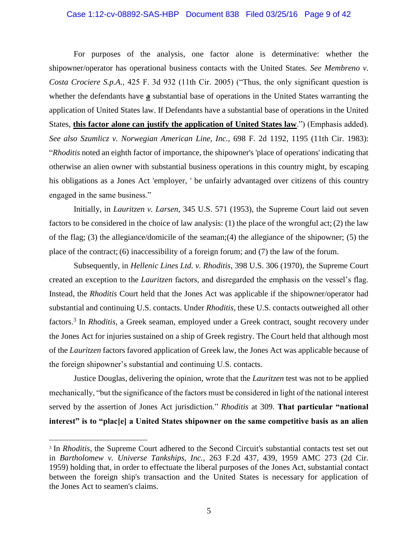#### Case 1:12-cv-08892-SAS-HBP Document 838 Filed 03/25/16 Page 9 of 42

For purposes of the analysis, one factor alone is determinative: whether the shipowner/operator has operational business contacts with the United States. *See Membreno v. Costa Crociere S.p.A.,* 425 F. 3d 932 (11th Cir. 2005) ("Thus, the only significant question is whether the defendants have **a** substantial base of operations in the United States warranting the application of United States law. If Defendants have a substantial base of operations in the United States, **this factor alone can justify the application of United States law**.") (Emphasis added). *See also Szumlicz v. Norwegian American Line, Inc.,* 698 F. 2d 1192, 1195 (11th Cir. 1983): "*Rhoditis* noted an eighth factor of importance, the shipowner's 'place of operations' indicating that otherwise an alien owner with substantial business operations in this country might, by escaping his obligations as a Jones Act 'employer, ' be unfairly advantaged over citizens of this country engaged in the same business."

Initially, in *Lauritzen v. Larsen*, 345 U.S. 571 (1953), the Supreme Court laid out seven factors to be considered in the choice of law analysis: (1) the place of the wrongful act; (2) the law of the flag; (3) the allegiance/domicile of the seaman;(4) the allegiance of the shipowner; (5) the place of the contract; (6) inaccessibility of a foreign forum; and (7) the law of the forum.

Subsequently, in *Hellenic Lines Ltd. v. Rhoditis*, 398 U.S. 306 (1970), the Supreme Court created an exception to the *Lauritzen* factors, and disregarded the emphasis on the vessel's flag. Instead, the *Rhoditis* Court held that the Jones Act was applicable if the shipowner/operator had substantial and continuing U.S. contacts. Under *Rhoditis*, these U.S. contacts outweighed all other factors.<sup>3</sup> In *Rhoditis*, a Greek seaman, employed under a Greek contract, sought recovery under the Jones Act for injuries sustained on a ship of Greek registry. The Court held that although most of the *Lauritzen* factors favored application of Greek law, the Jones Act was applicable because of the foreign shipowner's substantial and continuing U.S. contacts.

Justice Douglas, delivering the opinion, wrote that the *Lauritzen* test was not to be applied mechanically, "but the significance of the factors must be considered in light of the national interest served by the assertion of Jones Act jurisdiction." *Rhoditis* at 309. **That particular "national interest" is to "plac[e] a United States shipowner on the same competitive basis as an alien**

 $\overline{a}$ 

<sup>&</sup>lt;sup>3</sup> In *Rhoditis*, the Supreme Court adhered to the Second Circuit's substantial contacts test set out in *Bartholomew v. Universe Tankships, Inc.*, 263 F.2d 437, 439, 1959 AMC 273 (2d Cir. 1959) holding that, in order to effectuate the liberal purposes of the Jones Act, substantial contact between the foreign ship's transaction and the United States is necessary for application of the Jones Act to seamen's claims.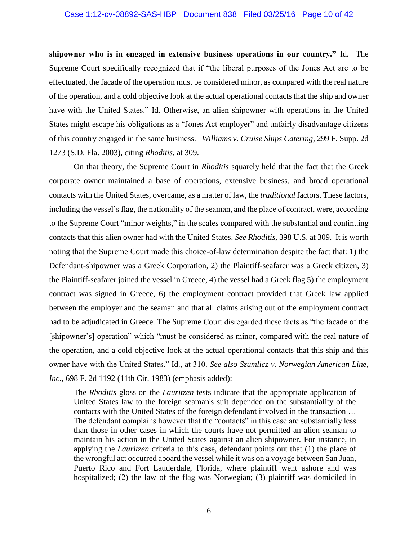#### Case 1:12-cv-08892-SAS-HBP Document 838 Filed 03/25/16 Page 10 of 42

**shipowner who is in engaged in extensive business operations in our country."** Id. The Supreme Court specifically recognized that if "the liberal purposes of the Jones Act are to be effectuated, the facade of the operation must be considered minor, as compared with the real nature of the operation, and a cold objective look at the actual operational contacts that the ship and owner have with the United States." Id. Otherwise, an alien shipowner with operations in the United States might escape his obligations as a "Jones Act employer" and unfairly disadvantage citizens of this country engaged in the same business. *Williams v. Cruise Ships Catering*, 299 F. Supp. 2d 1273 (S.D. Fla. 2003), citing *Rhoditis*, at 309.

On that theory, the Supreme Court in *Rhoditis* squarely held that the fact that the Greek corporate owner maintained a base of operations, extensive business, and broad operational contacts with the United States, overcame, as a matter of law, the *traditional* factors. These factors, including the vessel's flag, the nationality of the seaman, and the place of contract, were, according to the Supreme Court "minor weights," in the scales compared with the substantial and continuing contacts that this alien owner had with the United States. *See Rhoditis*, 398 U.S. at 309. It is worth noting that the Supreme Court made this choice-of-law determination despite the fact that: 1) the Defendant-shipowner was a Greek Corporation, 2) the Plaintiff-seafarer was a Greek citizen, 3) the Plaintiff-seafarer joined the vessel in Greece, 4) the vessel had a Greek flag 5) the employment contract was signed in Greece, 6) the employment contract provided that Greek law applied between the employer and the seaman and that all claims arising out of the employment contract had to be adjudicated in Greece. The Supreme Court disregarded these facts as "the facade of the [shipowner's] operation" which "must be considered as minor, compared with the real nature of the operation, and a cold objective look at the actual operational contacts that this ship and this owner have with the United States." Id., at 310. *See also Szumlicz v. Norwegian American Line, Inc.,* 698 F. 2d 1192 (11th Cir. 1983) (emphasis added):

The *Rhoditis* gloss on the *Lauritzen* tests indicate that the appropriate application of United States law to the foreign seaman's suit depended on the substantiality of the contacts with the United States of the foreign defendant involved in the transaction … The defendant complains however that the "contacts" in this case are substantially less than those in other cases in which the courts have not permitted an alien seaman to maintain his action in the United States against an alien shipowner. For instance, in applying the *Lauritzen* criteria to this case, defendant points out that (1) the place of the wrongful act occurred aboard the vessel while it was on a voyage between San Juan, Puerto Rico and Fort Lauderdale, Florida, where plaintiff went ashore and was hospitalized; (2) the law of the flag was Norwegian; (3) plaintiff was domiciled in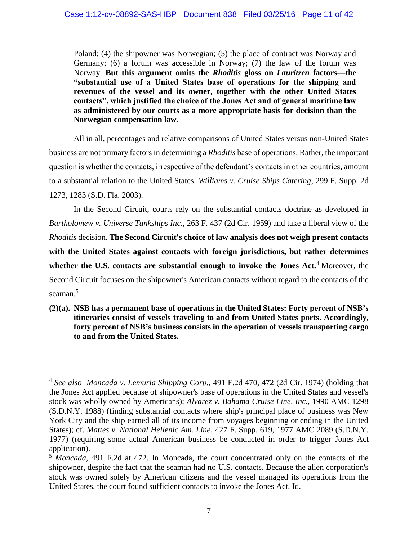Poland; (4) the shipowner was Norwegian; (5) the place of contract was Norway and Germany; (6) a forum was accessible in Norway; (7) the law of the forum was Norway. **But this argument omits the** *Rhoditis* **gloss on** *Lauritzen* **factors—the "substantial use of a United States base of operations for the shipping and revenues of the vessel and its owner, together with the other United States contacts", which justified the choice of the Jones Act and of general maritime law as administered by our courts as a more appropriate basis for decision than the Norwegian compensation law**.

All in all, percentages and relative comparisons of United States versus non-United States business are not primary factors in determining a *Rhoditis* base of operations. Rather, the important question is whether the contacts, irrespective of the defendant's contacts in other countries, amount to a substantial relation to the United States. *Williams v. Cruise Ships Catering*, 299 F. Supp. 2d 1273, 1283 (S.D. Fla. 2003).

In the Second Circuit, courts rely on the substantial contacts doctrine as developed in *Bartholomew v. Universe Tankships Inc*., 263 F. 437 (2d Cir. 1959) and take a liberal view of the *Rhoditis* decision. **The Second Circuit's choice of law analysis does not weigh present contacts with the United States against contacts with foreign jurisdictions, but rather determines whether the U.S. contacts are substantial enough to invoke the Jones Act.** <sup>4</sup> Moreover, the Second Circuit focuses on the shipowner's American contacts without regard to the contacts of the seaman.<sup>5</sup>

**(2)(a). NSB has a permanent base of operations in the United States: Forty percent of NSB's itineraries consist of vessels traveling to and from United States ports. Accordingly, forty percent of NSB's business consists in the operation of vessels transporting cargo to and from the United States.** 

 $\overline{a}$ 

<sup>4</sup> *See also Moncada v. Lemuria Shipping Corp.*, 491 F.2d 470, 472 (2d Cir. 1974) (holding that the Jones Act applied because of shipowner's base of operations in the United States and vessel's stock was wholly owned by Americans); *Alvarez v. Bahama Cruise Line, Inc.*, 1990 AMC 1298 (S.D.N.Y. 1988) (finding substantial contacts where ship's principal place of business was New York City and the ship earned all of its income from voyages beginning or ending in the United States); cf. *Mattes v. National Hellenic Am. Line*, 427 F. Supp. 619, 1977 AMC 2089 (S.D.N.Y. 1977) (requiring some actual American business be conducted in order to trigger Jones Act application).

<sup>5</sup> *Moncada*, 491 F.2d at 472. In Moncada, the court concentrated only on the contacts of the shipowner, despite the fact that the seaman had no U.S. contacts. Because the alien corporation's stock was owned solely by American citizens and the vessel managed its operations from the United States, the court found sufficient contacts to invoke the Jones Act. Id.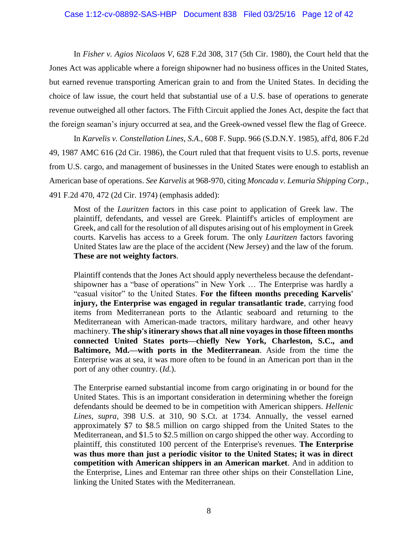In *Fisher v. Agios Nicolaos V*, 628 F.2d 308, 317 (5th Cir. 1980), the Court held that the Jones Act was applicable where a foreign shipowner had no business offices in the United States, but earned revenue transporting American grain to and from the United States. In deciding the choice of law issue, the court held that substantial use of a U.S. base of operations to generate revenue outweighed all other factors. The Fifth Circuit applied the Jones Act, despite the fact that the foreign seaman's injury occurred at sea, and the Greek-owned vessel flew the flag of Greece.

In *Karvelis v. Constellation Lines, S.A*., 608 F. Supp. 966 (S.D.N.Y. 1985), aff'd, 806 F.2d 49, 1987 AMC 616 (2d Cir. 1986), the Court ruled that that frequent visits to U.S. ports, revenue from U.S. cargo, and management of businesses in the United States were enough to establish an American base of operations. *See Karvelis* at 968-970, citing *Moncada v. Lemuria Shipping Corp.*, 491 F.2d 470, 472 (2d Cir. 1974) (emphasis added):

Most of the *Lauritzen* factors in this case point to application of Greek law. The plaintiff, defendants, and vessel are Greek. Plaintiff's articles of employment are Greek, and call for the resolution of all disputes arising out of his employment in Greek courts. Karvelis has access to a Greek forum. The only *Lauritzen* factors favoring United States law are the place of the accident (New Jersey) and the law of the forum. **These are not weighty factors**.

Plaintiff contends that the Jones Act should apply nevertheless because the defendantshipowner has a "base of operations" in New York … The Enterprise was hardly a "casual visitor" to the United States. **For the fifteen months preceding Karvelis' injury, the Enterprise was engaged in regular transatlantic trade**, carrying food items from Mediterranean ports to the Atlantic seaboard and returning to the Mediterranean with American-made tractors, military hardware, and other heavy machinery. **The ship's itinerary shows that all nine voyages in those fifteen months connected United States ports—chiefly New York, Charleston, S.C., and Baltimore, Md.—with ports in the Mediterranean**. Aside from the time the Enterprise was at sea, it was more often to be found in an American port than in the port of any other country. (*Id.*).

The Enterprise earned substantial income from cargo originating in or bound for the United States. This is an important consideration in determining whether the foreign defendants should be deemed to be in competition with American shippers. *Hellenic Lines, supra,* 398 U.S. at 310, 90 S.Ct. at 1734. Annually, the vessel earned approximately \$7 to \$8.5 million on cargo shipped from the United States to the Mediterranean, and \$1.5 to \$2.5 million on cargo shipped the other way. According to plaintiff, this constituted 100 percent of the Enterprise's revenues. **The Enterprise was thus more than just a periodic visitor to the United States; it was in direct competition with American shippers in an American market**. And in addition to the Enterprise, Lines and Entemar ran three other ships on their Constellation Line, linking the United States with the Mediterranean.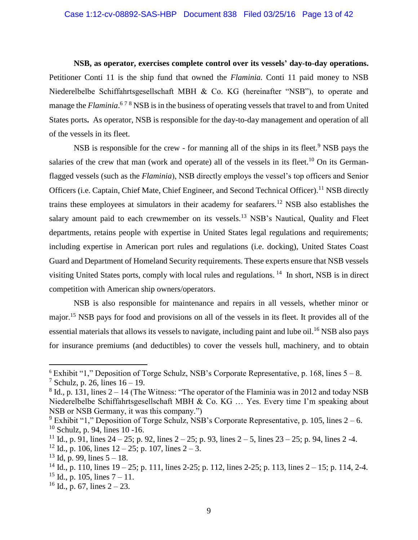**NSB, as operator, exercises complete control over its vessels' day-to-day operations.**  Petitioner Conti 11 is the ship fund that owned the *Flaminia.* Conti 11 paid money to NSB Niederelbelbe Schiffahrtsgesellschaft MBH & Co. KG (hereinafter "NSB"), to operate and manage the *Flaminia*.<sup>678</sup> NSB is in the business of operating vessels that travel to and from United States ports**.** As operator, NSB is responsible for the day-to-day management and operation of all of the vessels in its fleet.

NSB is responsible for the crew - for manning all of the ships in its fleet.<sup>9</sup> NSB pays the salaries of the crew that man (work and operate) all of the vessels in its fleet.<sup>10</sup> On its Germanflagged vessels (such as the *Flaminia*), NSB directly employs the vessel's top officers and Senior Officers (i.e. Captain, Chief Mate, Chief Engineer, and Second Technical Officer).<sup>11</sup> NSB directly trains these employees at simulators in their academy for seafarers.<sup>12</sup> NSB also establishes the salary amount paid to each crewmember on its vessels.<sup>13</sup> NSB's Nautical, Quality and Fleet departments, retains people with expertise in United States legal regulations and requirements; including expertise in American port rules and regulations (i.e. docking), United States Coast Guard and Department of Homeland Security requirements. These experts ensure that NSB vessels visiting United States ports, comply with local rules and regulations.<sup>14</sup> In short, NSB is in direct competition with American ship owners/operators.

NSB is also responsible for maintenance and repairs in all vessels, whether minor or major.<sup>15</sup> NSB pays for food and provisions on all of the vessels in its fleet. It provides all of the essential materials that allows its vessels to navigate, including paint and lube oil.<sup>16</sup> NSB also pays for insurance premiums (and deductibles) to cover the vessels hull, machinery, and to obtain

 $\overline{a}$ 

 $6$  Exhibit "1," Deposition of Torge Schulz, NSB's Corporate Representative, p. 168, lines  $5 - 8$ . <sup>7</sup> Schulz, p. 26, lines  $16 - 19$ .

 $8$  Id., p. 131, lines  $2 - 14$  (The Witness: "The operator of the Flaminia was in 2012 and today NSB Niederelbelbe Schiffahrtsgesellschaft MBH & Co. KG … Yes. Every time I'm speaking about NSB or NSB Germany, it was this company.")

<sup>&</sup>lt;sup>9</sup> Exhibit "1," Deposition of Torge Schulz, NSB's Corporate Representative, p. 105, lines  $2 - 6$ .  $10$  Schulz, p. 94, lines 10 -16.

<sup>&</sup>lt;sup>11</sup> Id., p. 91, lines 24 – 25; p. 92, lines 2 – 25; p. 93, lines 2 – 5, lines 23 – 25; p. 94, lines 2 -4.

<sup>&</sup>lt;sup>12</sup> Id., p. 106, lines  $12 - 25$ ; p. 107, lines  $2 - 3$ .

 $13$  Id, p. 99, lines  $5 - 18$ .

<sup>&</sup>lt;sup>14</sup> Id., p. 110, lines  $19 - 25$ ; p. 111, lines 2-25; p. 112, lines 2-25; p. 113, lines  $2 - 15$ ; p. 114, 2-4.

<sup>&</sup>lt;sup>15</sup> Id., p. 105, lines  $7 - 11$ .

 $16$  Id., p. 67, lines  $2 - 23$ .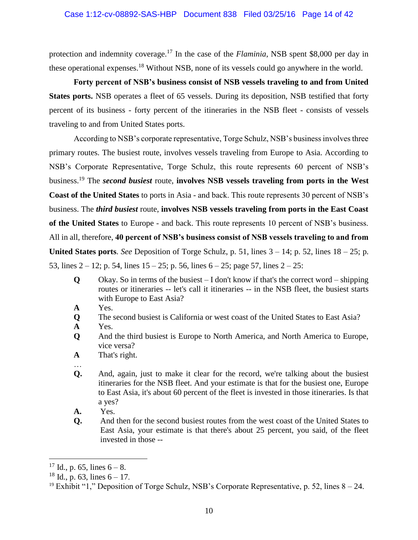protection and indemnity coverage.<sup>17</sup> In the case of the *Flaminia*, NSB spent \$8,000 per day in these operational expenses.<sup>18</sup> Without NSB, none of its vessels could go anywhere in the world.

**Forty percent of NSB's business consist of NSB vessels traveling to and from United States ports.** NSB operates a fleet of 65 vessels. During its deposition, NSB testified that forty percent of its business - forty percent of the itineraries in the NSB fleet - consists of vessels traveling to and from United States ports.

According to NSB's corporate representative, Torge Schulz, NSB's business involves three primary routes. The busiest route, involves vessels traveling from Europe to Asia. According to NSB's Corporate Representative, Torge Schulz, this route represents 60 percent of NSB's business.<sup>19</sup> The *second busiest* route, **involves NSB vessels traveling from ports in the West Coast of the United States** to ports in Asia - and back. This route represents 30 percent of NSB's business. The *third busiest* route, **involves NSB vessels traveling from ports in the East Coast of the United States** to Europe - and back. This route represents 10 percent of NSB's business. All in all, therefore, **40 percent of NSB's business consist of NSB vessels traveling to and from United States ports**. *See* Deposition of Torge Schulz, p. 51, lines  $3 - 14$ ; p. 52, lines  $18 - 25$ ; p. 53, lines  $2 - 12$ ; p. 54, lines  $15 - 25$ ; p. 56, lines  $6 - 25$ ; page 57, lines  $2 - 25$ :

- **Q** Okay. So in terms of the busiest  $I$  don't know if that's the correct word  $-$  shipping routes or itineraries -- let's call it itineraries -- in the NSB fleet, the busiest starts with Europe to East Asia?
- **A** Yes.
- **Q** The second busiest is California or west coast of the United States to East Asia?
- **A** Yes.
- **Q** And the third busiest is Europe to North America, and North America to Europe, vice versa?
- **A** That's right.
- …
- **Q.** And, again, just to make it clear for the record, we're talking about the busiest itineraries for the NSB fleet. And your estimate is that for the busiest one, Europe to East Asia, it's about 60 percent of the fleet is invested in those itineraries. Is that a yes?
- **A.** Yes.
- **Q.** And then for the second busiest routes from the west coast of the United States to East Asia, your estimate is that there's about 25 percent, you said, of the fleet invested in those --

 $\overline{a}$ 

 $17$  Id., p. 65, lines  $6 - 8$ .

 $18$  Id., p. 63, lines  $6 - 17$ .

<sup>&</sup>lt;sup>19</sup> Exhibit "1," Deposition of Torge Schulz, NSB's Corporate Representative, p. 52, lines  $8 - 24$ .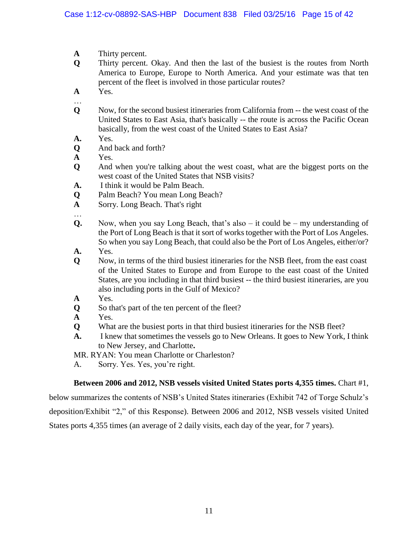- **A** Thirty percent.
- **Q** Thirty percent. Okay. And then the last of the busiest is the routes from North America to Europe, Europe to North America. And your estimate was that ten percent of the fleet is involved in those particular routes?
- **A** Yes.

…

- **Q** Now, for the second busiest itineraries from California from -- the west coast of the United States to East Asia, that's basically -- the route is across the Pacific Ocean basically, from the west coast of the United States to East Asia?
- **A.** Yes.
- **Q** And back and forth?
- **A** Yes.
- **Q** And when you're talking about the west coast, what are the biggest ports on the west coast of the United States that NSB visits?
- **A.** I think it would be Palm Beach.
- **Q** Palm Beach? You mean Long Beach?
- **A** Sorry. Long Beach. That's right
- …
- **Q.** Now, when you say Long Beach, that's also it could be my understanding of the Port of Long Beach is that it sort of works together with the Port of Los Angeles. So when you say Long Beach, that could also be the Port of Los Angeles, either/or?
- **A.** Yes.
- **Q** Now, in terms of the third busiest itineraries for the NSB fleet, from the east coast of the United States to Europe and from Europe to the east coast of the United States, are you including in that third busiest -- the third busiest itineraries, are you also including ports in the Gulf of Mexico?
- **A** Yes.
- **Q** So that's part of the ten percent of the fleet?
- **A** Yes.
- **Q** What are the busiest ports in that third busiest itineraries for the NSB fleet?
- **A.** I knew that sometimes the vessels go to New Orleans. It goes to New York, I think to New Jersey, and Charlotte**.**
- MR. RYAN: You mean Charlotte or Charleston?
- A. Sorry. Yes. Yes, you're right.

#### **Between 2006 and 2012, NSB vessels visited United States ports 4,355 times.** Chart #1,

below summarizes the contents of NSB's United States itineraries (Exhibit 742 of Torge Schulz's deposition/Exhibit "2," of this Response). Between 2006 and 2012, NSB vessels visited United States ports 4,355 times (an average of 2 daily visits, each day of the year, for 7 years).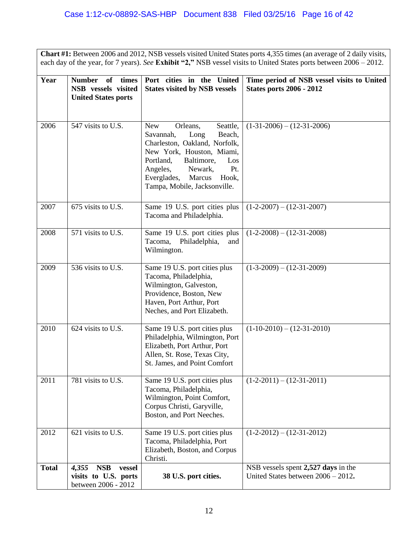**Chart #1:** Between 2006 and 2012, NSB vessels visited United States ports 4,355 times (an average of 2 daily visits, each day of the year, for 7 years). *See* **Exhibit "2,"** NSB vessel visits to United States ports between 2006 – 2012.

| Year         | <b>Number</b><br>times<br>of                      | Port cities in the United                                                                                                                                                                                                                                         | Time period of NSB vessel visits to United |
|--------------|---------------------------------------------------|-------------------------------------------------------------------------------------------------------------------------------------------------------------------------------------------------------------------------------------------------------------------|--------------------------------------------|
|              | NSB vessels visited<br><b>United States ports</b> | <b>States visited by NSB vessels</b>                                                                                                                                                                                                                              | <b>States ports 2006 - 2012</b>            |
| 2006         | 547 visits to U.S.                                | <b>New</b><br>Orleans,<br>Seattle,<br>Savannah,<br>Beach,<br>Long<br>Charleston, Oakland, Norfolk,<br>New York, Houston, Miami,<br>Portland,<br>Baltimore,<br>Los<br>Angeles,<br>Newark,<br>Pt.<br>Marcus<br>Everglades,<br>Hook,<br>Tampa, Mobile, Jacksonville. | $(1-31-2006) - (12-31-2006)$               |
| 2007         | 675 visits to U.S.                                | Same 19 U.S. port cities plus<br>Tacoma and Philadelphia.                                                                                                                                                                                                         | $(1-2-2007) - (12-31-2007)$                |
| 2008         | 571 visits to U.S.                                | Same 19 U.S. port cities plus<br>Tacoma,<br>Philadelphia,<br>and<br>Wilmington.                                                                                                                                                                                   | $(1-2-2008) - (12-31-2008)$                |
| 2009         | 536 visits to U.S.                                | Same 19 U.S. port cities plus<br>Tacoma, Philadelphia,<br>Wilmington, Galveston,<br>Providence, Boston, New<br>Haven, Port Arthur, Port<br>Neches, and Port Elizabeth.                                                                                            | $(1-3-2009) - (12-31-2009)$                |
| 2010         | 624 visits to U.S.                                | Same 19 U.S. port cities plus<br>Philadelphia, Wilmington, Port<br>Elizabeth, Port Arthur, Port<br>Allen, St. Rose, Texas City,<br>St. James, and Point Comfort                                                                                                   | $(1-10-2010) - (12-31-2010)$               |
| 2011         | 781 visits to U.S.                                | Same 19 U.S. port cities plus<br>Tacoma, Philadelphia,<br>Wilmington, Point Comfort,<br>Corpus Christi, Garyville,<br>Boston, and Port Neeches.                                                                                                                   | $(1-2-2011) - (12-31-2011)$                |
| 2012         | 621 visits to U.S.                                | Same 19 U.S. port cities plus<br>Tacoma, Philadelphia, Port<br>Elizabeth, Boston, and Corpus<br>Christi.                                                                                                                                                          | $(1-2-2012) - (12-31-2012)$                |
| <b>Total</b> | <b>NSB</b><br>4,355<br>vessel                     |                                                                                                                                                                                                                                                                   | NSB vessels spent 2,527 days in the        |
|              | visits to U.S. ports<br>between 2006 - 2012       | 38 U.S. port cities.                                                                                                                                                                                                                                              | United States between $2006 - 2012$ .      |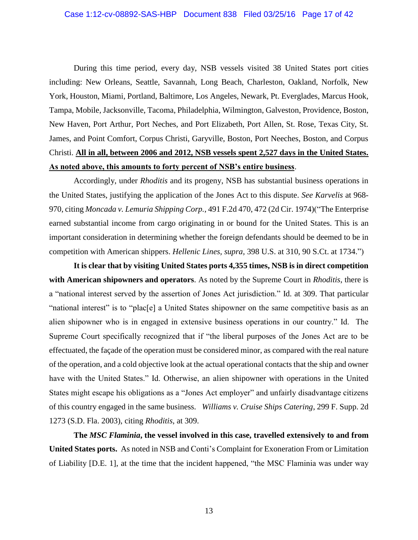#### Case 1:12-cv-08892-SAS-HBP Document 838 Filed 03/25/16 Page 17 of 42

During this time period, every day, NSB vessels visited 38 United States port cities including: New Orleans, Seattle, Savannah, Long Beach, Charleston, Oakland, Norfolk, New York, Houston, Miami, Portland, Baltimore, Los Angeles, Newark, Pt. Everglades, Marcus Hook, Tampa, Mobile, Jacksonville, Tacoma, Philadelphia, Wilmington, Galveston, Providence, Boston, New Haven, Port Arthur, Port Neches, and Port Elizabeth, Port Allen, St. Rose, Texas City, St. James, and Point Comfort, Corpus Christi, Garyville, Boston, Port Neeches, Boston, and Corpus Christi. **All in all, between 2006 and 2012, NSB vessels spent 2,527 days in the United States. As noted above, this amounts to forty percent of NSB's entire business**.

Accordingly, under *Rhoditis* and its progeny, NSB has substantial business operations in the United States, justifying the application of the Jones Act to this dispute. *See Karvelis* at 968- 970, citing *Moncada v. Lemuria Shipping Corp.*, 491 F.2d 470, 472 (2d Cir. 1974)("The Enterprise earned substantial income from cargo originating in or bound for the United States. This is an important consideration in determining whether the foreign defendants should be deemed to be in competition with American shippers. *Hellenic Lines, supra,* 398 U.S. at 310, 90 S.Ct. at 1734.")

**It is clear that by visiting United States ports 4,355 times, NSB is in direct competition with American shipowners and operators**. As noted by the Supreme Court in *Rhoditis*, there is a "national interest served by the assertion of Jones Act jurisdiction." Id. at 309. That particular "national interest" is to "plac[e] a United States shipowner on the same competitive basis as an alien shipowner who is in engaged in extensive business operations in our country." Id. The Supreme Court specifically recognized that if "the liberal purposes of the Jones Act are to be effectuated, the façade of the operation must be considered minor, as compared with the real nature of the operation, and a cold objective look at the actual operational contacts that the ship and owner have with the United States." Id. Otherwise, an alien shipowner with operations in the United States might escape his obligations as a "Jones Act employer" and unfairly disadvantage citizens of this country engaged in the same business. *Williams v. Cruise Ships Catering*, 299 F. Supp. 2d 1273 (S.D. Fla. 2003), citing *Rhoditis*, at 309.

**The** *MSC Flaminia***, the vessel involved in this case, travelled extensively to and from United States ports.** As noted in NSB and Conti's Complaint for Exoneration From or Limitation of Liability [D.E. 1], at the time that the incident happened, "the MSC Flaminia was under way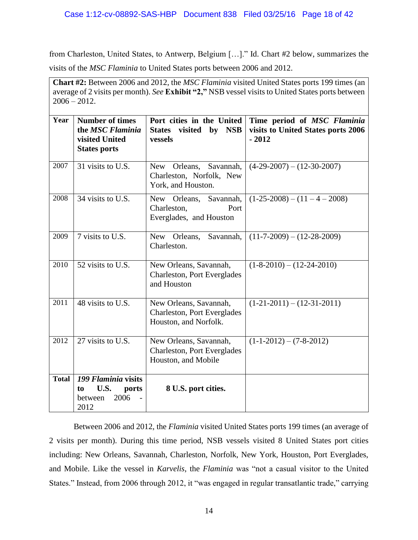from Charleston, United States, to Antwerp, Belgium […]." Id. Chart #2 below, summarizes the visits of the *MSC Flaminia* to United States ports between 2006 and 2012.

**Chart #2:** Between 2006 and 2012, the *MSC Flaminia* visited United States ports 199 times (an average of 2 visits per month). *See* **Exhibit "2,"** NSB vessel visits to United States ports between  $2006 - 2012$ .

| Year         | <b>Number of times</b><br>the MSC Flaminia<br>visited United<br><b>States ports</b> | Port cities in the United<br>visited<br>by<br><b>NSB</b><br><b>States</b><br>vessels                                  | Time period of MSC Flaminia<br>visits to United States ports 2006<br>$-2012$ |
|--------------|-------------------------------------------------------------------------------------|-----------------------------------------------------------------------------------------------------------------------|------------------------------------------------------------------------------|
| 2007         | 31 visits to U.S.                                                                   | New Orleans, Savannah,<br>Charleston, Norfolk, New<br>York, and Houston.                                              | $(4-29-2007) - (12-30-2007)$                                                 |
| 2008         | 34 visits to U.S.                                                                   | Savannah,<br>New Orleans,<br>Port<br>Charleston,<br>Everglades, and Houston                                           | $(1-25-2008) - (11-4-2008)$                                                  |
| 2009         | 7 visits to U.S.                                                                    | Savannah,<br>New<br>Orleans,<br>Charleston.                                                                           | $(11-7-2009) - (12-28-2009)$                                                 |
| 2010         | 52 visits to U.S.                                                                   | New Orleans, Savannah,<br><b>Charleston, Port Everglades</b><br>and Houston                                           | $(1-8-2010) - (12-24-2010)$                                                  |
| 2011         | 48 visits to U.S.                                                                   | $(1-21-2011) - (12-31-2011)$<br>New Orleans, Savannah,<br><b>Charleston, Port Everglades</b><br>Houston, and Norfolk. |                                                                              |
| 2012         | 27 visits to U.S.                                                                   | New Orleans, Savannah,<br><b>Charleston, Port Everglades</b><br>Houston, and Mobile                                   | $(1-1-2012) - (7-8-2012)$                                                    |
| <b>Total</b> | 199 Flaminia visits<br>U.S.<br>ports<br>to<br>2006<br>between<br>2012               | 8 U.S. port cities.                                                                                                   |                                                                              |

Between 2006 and 2012, the *Flaminia* visited United States ports 199 times (an average of 2 visits per month). During this time period, NSB vessels visited 8 United States port cities including: New Orleans, Savannah, Charleston, Norfolk, New York, Houston, Port Everglades, and Mobile. Like the vessel in *Karvelis*, the *Flaminia* was "not a casual visitor to the United States." Instead, from 2006 through 2012, it "was engaged in regular transatlantic trade," carrying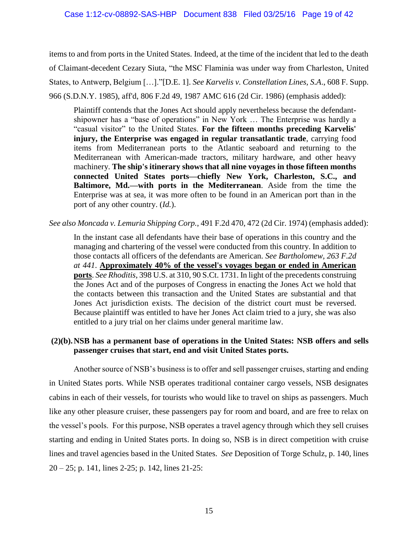items to and from ports in the United States. Indeed, at the time of the incident that led to the death of Claimant-decedent Cezary Siuta, "the MSC Flaminia was under way from Charleston, United States, to Antwerp, Belgium […]."[D.E. 1]. *See Karvelis v. Constellation Lines, S.A*., 608 F. Supp. 966 (S.D.N.Y. 1985), aff'd, 806 F.2d 49, 1987 AMC 616 (2d Cir. 1986) (emphasis added):

Plaintiff contends that the Jones Act should apply nevertheless because the defendantshipowner has a "base of operations" in New York … The Enterprise was hardly a "casual visitor" to the United States. **For the fifteen months preceding Karvelis' injury, the Enterprise was engaged in regular transatlantic trade**, carrying food items from Mediterranean ports to the Atlantic seaboard and returning to the Mediterranean with American-made tractors, military hardware, and other heavy machinery. **The ship's itinerary shows that all nine voyages in those fifteen months connected United States ports—chiefly New York, Charleston, S.C., and Baltimore, Md.—with ports in the Mediterranean**. Aside from the time the Enterprise was at sea, it was more often to be found in an American port than in the port of any other country. (*Id.*).

#### *See also Moncada v. Lemuria Shipping Corp.*, 491 F.2d 470, 472 (2d Cir. 1974) (emphasis added):

In the instant case all defendants have their base of operations in this country and the managing and chartering of the vessel were conducted from this country. In addition to those contacts all officers of the defendants are American. *See Bartholomew, 263 F.2d at 441*. **Approximately 40% of the vessel's voyages began or ended in American ports**. *See Rhoditis*, 398 U.S. at 310, 90 S.Ct. 1731. In light of the precedents construing the Jones Act and of the purposes of Congress in enacting the Jones Act we hold that the contacts between this transaction and the United States are substantial and that Jones Act jurisdiction exists. The decision of the district court must be reversed. Because plaintiff was entitled to have her Jones Act claim tried to a jury, she was also entitled to a jury trial on her claims under general maritime law.

### **(2)(b).NSB has a permanent base of operations in the United States: NSB offers and sells passenger cruises that start, end and visit United States ports.**

Another source of NSB's business is to offer and sell passenger cruises, starting and ending in United States ports. While NSB operates traditional container cargo vessels, NSB designates cabins in each of their vessels, for tourists who would like to travel on ships as passengers. Much like any other pleasure cruiser, these passengers pay for room and board, and are free to relax on the vessel's pools. For this purpose, NSB operates a travel agency through which they sell cruises starting and ending in United States ports. In doing so, NSB is in direct competition with cruise lines and travel agencies based in the United States. *See* Deposition of Torge Schulz, p. 140, lines 20 – 25; p. 141, lines 2-25; p. 142, lines 21-25: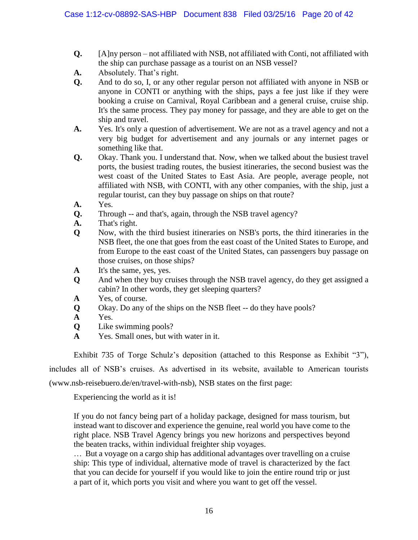- **Q.** [A]ny person not affiliated with NSB, not affiliated with Conti, not affiliated with the ship can purchase passage as a tourist on an NSB vessel?
- **A.** Absolutely. That's right.
- **Q.** And to do so, I, or any other regular person not affiliated with anyone in NSB or anyone in CONTI or anything with the ships, pays a fee just like if they were booking a cruise on Carnival, Royal Caribbean and a general cruise, cruise ship. It's the same process. They pay money for passage, and they are able to get on the ship and travel.
- **A.** Yes. It's only a question of advertisement. We are not as a travel agency and not a very big budget for advertisement and any journals or any internet pages or something like that.
- **Q.** Okay. Thank you. I understand that. Now, when we talked about the busiest travel ports, the busiest trading routes, the busiest itineraries, the second busiest was the west coast of the United States to East Asia. Are people, average people, not affiliated with NSB, with CONTI, with any other companies, with the ship, just a regular tourist, can they buy passage on ships on that route?
- **A.** Yes.
- **Q.** Through -- and that's, again, through the NSB travel agency?
- **A.** That's right.
- **Q** Now, with the third busiest itineraries on NSB's ports, the third itineraries in the NSB fleet, the one that goes from the east coast of the United States to Europe, and from Europe to the east coast of the United States, can passengers buy passage on those cruises, on those ships?
- **A** It's the same, yes, yes.
- **Q** And when they buy cruises through the NSB travel agency, do they get assigned a cabin? In other words, they get sleeping quarters?
- **A** Yes, of course.
- **Q** Okay. Do any of the ships on the NSB fleet -- do they have pools?
- **A** Yes.
- **Q** Like swimming pools?
- **A** Yes. Small ones, but with water in it.

Exhibit 735 of Torge Schulz's deposition (attached to this Response as Exhibit "3"),

includes all of NSB's cruises. As advertised in its website, available to American tourists

(www.nsb-reisebuero.de/en/travel-with-nsb), NSB states on the first page:

Experiencing the world as it is!

If you do not fancy being part of a holiday package, designed for mass tourism, but instead want to discover and experience the genuine, real world you have come to the right place. NSB Travel Agency brings you new horizons and perspectives beyond the beaten tracks, within individual freighter ship voyages.

… But a voyage on a cargo ship has additional advantages over travelling on a cruise ship: This type of individual, alternative mode of travel is characterized by the fact that you can decide for yourself if you would like to join the entire round trip or just a part of it, which ports you visit and where you want to get off the vessel.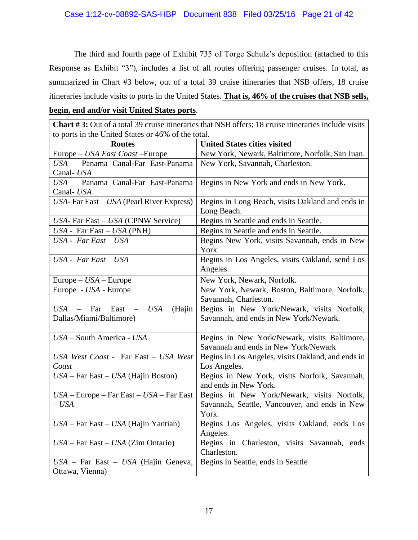The third and fourth page of Exhibit 735 of Torge Schulz's deposition (attached to this Response as Exhibit "3"), includes a list of all routes offering passenger cruises. In total, as summarized in Chart #3 below, out of a total 39 cruise itineraries that NSB offers, 18 cruise itineraries include visits to ports in the United States. **That is, 46% of the cruises that NSB sells,** 

#### **begin, end and/or visit United States ports**.

**Chart # 3:** Out of a total 39 cruise itineraries that NSB offers; 18 cruise itineraries include visits to ports in the United States or 46% of the total.

| <b>Routes</b>                                                              | <b>United States cities visited</b>                                    |
|----------------------------------------------------------------------------|------------------------------------------------------------------------|
| Europe - USA East Coast - Europe                                           | New York, Newark, Baltimore, Norfolk, San Juan.                        |
| USA - Panama Canal-Far East-Panama                                         | New York, Savannah, Charleston.                                        |
| Canal-USA                                                                  |                                                                        |
| USA - Panama Canal-Far East-Panama                                         | Begins in New York and ends in New York.                               |
| Canal-USA                                                                  |                                                                        |
| $USA$ - Far East – USA (Pearl River Express)                               | Begins in Long Beach, visits Oakland and ends in                       |
|                                                                            | Long Beach.                                                            |
| USA- Far East - USA (CPNW Service)                                         | Begins in Seattle and ends in Seattle.                                 |
| $USA - Far East - USA (PNH)$                                               | Begins in Seattle and ends in Seattle.                                 |
| USA - Far East - USA                                                       | Begins New York, visits Savannah, ends in New<br>York.                 |
| $USA$ - $Far East - USA$                                                   | Begins in Los Angeles, visits Oakland, send Los<br>Angeles.            |
| $Europe - USA - Europe$                                                    | New York, Newark, Norfolk.                                             |
| Europe - USA - Europe                                                      | New York, Newark, Boston, Baltimore, Norfolk,                          |
|                                                                            | Savannah, Charleston.                                                  |
| <b>USA</b><br>Far<br>East<br>(Hajin<br>$USA -$<br>$\overline{\phantom{a}}$ | Begins in New York/Newark, visits Norfolk,                             |
| Dallas/Miami/Baltimore)                                                    | Savannah, and ends in New York/Newark.                                 |
| USA - South America - USA                                                  | Begins in New York/Newark, visits Baltimore,                           |
|                                                                            | Savannah and ends in New York/Newark                                   |
| USA West Coast - Far East - USA West                                       | Begins in Los Angeles, visits Oakland, and ends in                     |
| Coast                                                                      | Los Angeles.                                                           |
| $USA - Far East - USA$ (Hajin Boston)                                      | Begins in New York, visits Norfolk, Savannah,<br>and ends in New York. |
| $USA$ – Europe – Far East – $USA$ – Far East                               | Begins in New York/Newark, visits Norfolk,                             |
| $- USA$                                                                    | Savannah, Seattle, Vancouver, and ends in New                          |
|                                                                            | York.                                                                  |
| $USA - Far East - USA$ (Hajin Yantian)                                     | Begins Los Angeles, visits Oakland, ends Los<br>Angeles.               |
| $USA - Far East - USA$ (Zim Ontario)                                       | Begins in Charleston, visits Savannah, ends<br>Charleston.             |
| $USA$ – Far East – USA (Hajin Geneva,                                      | Begins in Seattle, ends in Seattle                                     |
| Ottawa, Vienna)                                                            |                                                                        |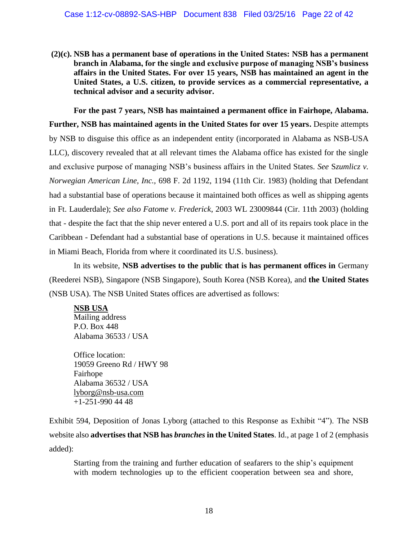**(2)(c). NSB has a permanent base of operations in the United States: NSB has a permanent branch in Alabama, for the single and exclusive purpose of managing NSB's business affairs in the United States. For over 15 years, NSB has maintained an agent in the United States, a U.S. citizen, to provide services as a commercial representative, a technical advisor and a security advisor.** 

**For the past 7 years, NSB has maintained a permanent office in Fairhope, Alabama. Further, NSB has maintained agents in the United States for over 15 years.** Despite attempts by NSB to disguise this office as an independent entity (incorporated in Alabama as NSB-USA LLC), discovery revealed that at all relevant times the Alabama office has existed for the single and exclusive purpose of managing NSB's business affairs in the United States. *See* S*zumlicz v. Norwegian American Line, Inc.,* 698 F. 2d 1192, 1194 (11th Cir. 1983) (holding that Defendant had a substantial base of operations because it maintained both offices as well as shipping agents in Ft. Lauderdale); *See also Fatome v. Frederick*, 2003 WL 23009844 (Cir. 11th 2003) (holding that - despite the fact that the ship never entered a U.S. port and all of its repairs took place in the Caribbean - Defendant had a substantial base of operations in U.S. because it maintained offices in Miami Beach, Florida from where it coordinated its U.S. business).

In its website, **NSB advertises to the public that is has permanent offices in** Germany (Reederei NSB), Singapore (NSB Singapore), South Korea (NSB Korea), and **the United States** (NSB USA). The NSB United States offices are advertised as follows:

**NSB USA** Mailing address P.O. Box 448 Alabama 36533 / USA

Office location: 19059 Greeno Rd / HWY 98 Fairhope Alabama 36532 / USA lyborg@nsb-usa.com +1-251-990 44 48

Exhibit 594, Deposition of Jonas Lyborg (attached to this Response as Exhibit "4"). The NSB website also **advertises that NSB has** *branches* **in the United States**. Id., at page 1 of 2 (emphasis added):

Starting from the training and further education of seafarers to the ship's equipment with modern technologies up to the efficient cooperation between sea and shore,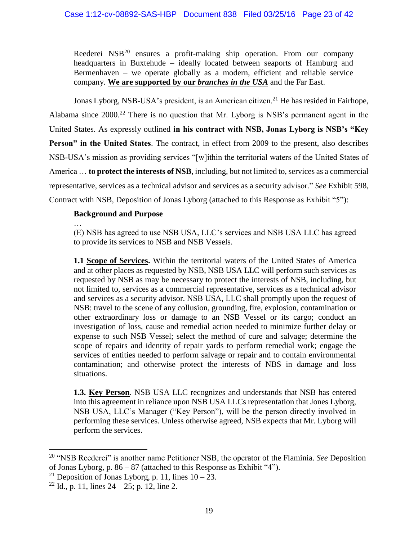Reederei  $NSB<sup>20</sup>$  ensures a profit-making ship operation. From our company headquarters in Buxtehude – ideally located between seaports of Hamburg and Bermenhaven – we operate globally as a modern, efficient and reliable service company. **We are supported by our** *branches in the USA* and the Far East.

Jonas Lyborg, NSB-USA's president, is an American citizen.<sup>21</sup> He has resided in Fairhope, Alabama since 2000.<sup>22</sup> There is no question that Mr. Lyborg is NSB's permanent agent in the United States. As expressly outlined **in his contract with NSB, Jonas Lyborg is NSB's "Key Person" in the United States**. The contract, in effect from 2009 to the present, also describes NSB-USA's mission as providing services "[w]ithin the territorial waters of the United States of America … **to protect the interests of NSB**, including, but not limited to, services as a commercial representative, services as a technical advisor and services as a security advisor." *See* Exhibit 598, Contract with NSB, Deposition of Jonas Lyborg (attached to this Response as Exhibit "5"):

# **Background and Purpose**

… (E) NSB has agreed to use NSB USA, LLC's services and NSB USA LLC has agreed to provide its services to NSB and NSB Vessels.

**1.1 Scope of Services.** Within the territorial waters of the United States of America and at other places as requested by NSB, NSB USA LLC will perform such services as requested by NSB as may be necessary to protect the interests of NSB, including, but not limited to, services as a commercial representative, services as a technical advisor and services as a security advisor. NSB USA, LLC shall promptly upon the request of NSB: travel to the scene of any collusion, grounding, fire, explosion, contamination or other extraordinary loss or damage to an NSB Vessel or its cargo; conduct an investigation of loss, cause and remedial action needed to minimize further delay or expense to such NSB Vessel; select the method of cure and salvage; determine the scope of repairs and identity of repair yards to perform remedial work; engage the services of entities needed to perform salvage or repair and to contain environmental contamination; and otherwise protect the interests of NBS in damage and loss situations.

**1.3. Key Person**. NSB USA LLC recognizes and understands that NSB has entered into this agreement in reliance upon NSB USA LLCs representation that Jones Lyborg, NSB USA, LLC's Manager ("Key Person"), will be the person directly involved in performing these services. Unless otherwise agreed, NSB expects that Mr. Lyborg will perform the services.

 $\overline{a}$ 

<sup>20</sup> "NSB Reederei" is another name Petitioner NSB, the operator of the Flaminia. *See* Deposition of Jonas Lyborg, p. 86 – 87 (attached to this Response as Exhibit "4").

<sup>&</sup>lt;sup>21</sup> Deposition of Jonas Lyborg, p. 11, lines  $10 - 23$ .

 $22$  Id., p. 11, lines  $24 - 25$ ; p. 12, line 2.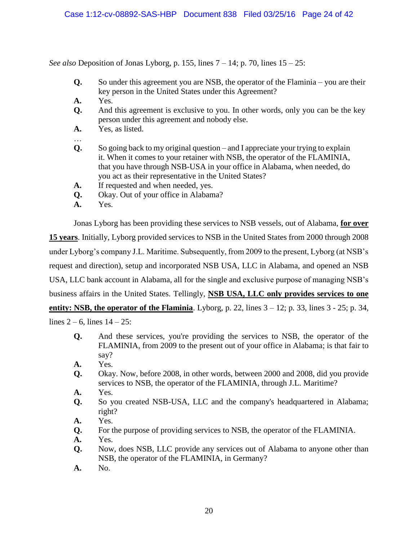*See also* Deposition of Jonas Lyborg, p. 155, lines 7 – 14; p. 70, lines 15 – 25:

- **Q.** So under this agreement you are NSB, the operator of the Flaminia you are their key person in the United States under this Agreement?
- **A.** Yes.

…

- **Q.** And this agreement is exclusive to you. In other words, only you can be the key person under this agreement and nobody else.
- **A.** Yes, as listed.
- **Q.** So going back to my original question and I appreciate your trying to explain it. When it comes to your retainer with NSB, the operator of the FLAMINIA, that you have through NSB-USA in your office in Alabama, when needed, do you act as their representative in the United States?
- **A.** If requested and when needed, yes.
- **Q.** Okay. Out of your office in Alabama?
- **A.** Yes.

Jonas Lyborg has been providing these services to NSB vessels, out of Alabama, **for over 15 years**. Initially, Lyborg provided services to NSB in the United States from 2000 through 2008 under Lyborg's company J.L. Maritime. Subsequently, from 2009 to the present, Lyborg (at NSB's request and direction), setup and incorporated NSB USA, LLC in Alabama, and opened an NSB USA, LLC bank account in Alabama, all for the single and exclusive purpose of managing NSB's business affairs in the United States. Tellingly, **NSB USA, LLC only provides services to one entity: NSB, the operator of the Flaminia**. Lyborg, p. 22, lines  $3 - 12$ ; p. 33, lines  $3 - 25$ ; p. 34,

lines  $2 - 6$ , lines  $14 - 25$ :

- **Q.** And these services, you're providing the services to NSB, the operator of the FLAMINIA, from 2009 to the present out of your office in Alabama; is that fair to say?
- **A.** Yes.
- **Q.** Okay. Now, before 2008, in other words, between 2000 and 2008, did you provide services to NSB, the operator of the FLAMINIA, through J.L. Maritime?
- **A.** Yes.
- **Q.** So you created NSB-USA, LLC and the company's headquartered in Alabama; right?
- **A.** Yes.
- **Q.** For the purpose of providing services to NSB, the operator of the FLAMINIA.
- **A.** Yes.
- **Q.** Now, does NSB, LLC provide any services out of Alabama to anyone other than NSB, the operator of the FLAMINIA, in Germany?
- **A.** No.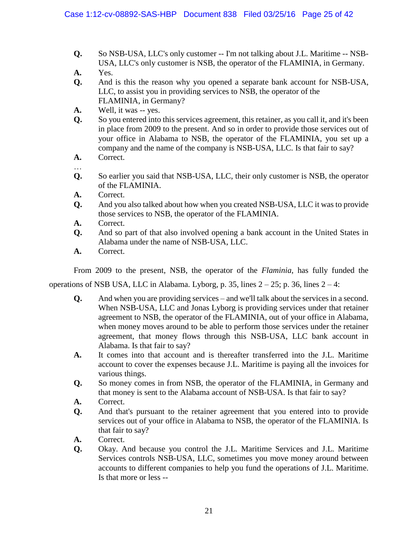- **Q.** So NSB-USA, LLC's only customer -- I'm not talking about J.L. Maritime -- NSB-USA, LLC's only customer is NSB, the operator of the FLAMINIA, in Germany.
- **A.** Yes.
- **Q.** And is this the reason why you opened a separate bank account for NSB-USA, LLC, to assist you in providing services to NSB, the operator of the FLAMINIA, in Germany?
- **A.** Well, it was -- yes.
- **Q.** So you entered into this services agreement, this retainer, as you call it, and it's been in place from 2009 to the present. And so in order to provide those services out of your office in Alabama to NSB, the operator of the FLAMINIA, you set up a company and the name of the company is NSB-USA, LLC. Is that fair to say?
- **A.** Correct.

…

- **Q.** So earlier you said that NSB-USA, LLC, their only customer is NSB, the operator of the FLAMINIA.
- **A.** Correct.
- **Q.** And you also talked about how when you created NSB-USA, LLC it was to provide those services to NSB, the operator of the FLAMINIA.
- **A.** Correct.
- **Q.** And so part of that also involved opening a bank account in the United States in Alabama under the name of NSB-USA, LLC.
- **A.** Correct.

From 2009 to the present, NSB, the operator of the *Flaminia*, has fully funded the

operations of NSB USA, LLC in Alabama. Lyborg, p. 35, lines  $2 - 25$ ; p. 36, lines  $2 - 4$ :

- **Q.** And when you are providing services and we'll talk about the services in a second. When NSB-USA, LLC and Jonas Lyborg is providing services under that retainer agreement to NSB, the operator of the FLAMINIA, out of your office in Alabama, when money moves around to be able to perform those services under the retainer agreement, that money flows through this NSB-USA, LLC bank account in Alabama. Is that fair to say?
- **A.** It comes into that account and is thereafter transferred into the J.L. Maritime account to cover the expenses because J.L. Maritime is paying all the invoices for various things.
- **Q.** So money comes in from NSB, the operator of the FLAMINIA, in Germany and that money is sent to the Alabama account of NSB-USA. Is that fair to say?
- **A.** Correct.
- **Q.** And that's pursuant to the retainer agreement that you entered into to provide services out of your office in Alabama to NSB, the operator of the FLAMINIA. Is that fair to say?
- **A.** Correct.
- **Q.** Okay. And because you control the J.L. Maritime Services and J.L. Maritime Services controls NSB-USA, LLC, sometimes you move money around between accounts to different companies to help you fund the operations of J.L. Maritime. Is that more or less --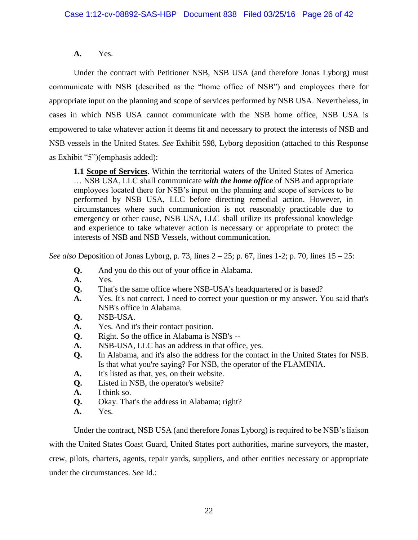### **A.** Yes.

Under the contract with Petitioner NSB, NSB USA (and therefore Jonas Lyborg) must communicate with NSB (described as the "home office of NSB") and employees there for appropriate input on the planning and scope of services performed by NSB USA. Nevertheless, in cases in which NSB USA cannot communicate with the NSB home office, NSB USA is empowered to take whatever action it deems fit and necessary to protect the interests of NSB and NSB vessels in the United States. *See* Exhibit 598, Lyborg deposition (attached to this Response as Exhibit "5")(emphasis added):

**1.1 Scope of Services**. Within the territorial waters of the United States of America … NSB USA, LLC shall communicate *with the home office* of NSB and appropriate employees located there for NSB's input on the planning and scope of services to be performed by NSB USA, LLC before directing remedial action. However, in circumstances where such communication is not reasonably practicable due to emergency or other cause, NSB USA, LLC shall utilize its professional knowledge and experience to take whatever action is necessary or appropriate to protect the interests of NSB and NSB Vessels, without communication.

*See also* Deposition of Jonas Lyborg, p. 73, lines 2 – 25; p. 67, lines 1-2; p. 70, lines 15 – 25:

- **Q.** And you do this out of your office in Alabama.
- **A.** Yes.
- **Q.** That's the same office where NSB-USA's headquartered or is based?
- **A.** Yes. It's not correct. I need to correct your question or my answer. You said that's NSB's office in Alabama.
- **Q.** NSB-USA.
- **A.** Yes. And it's their contact position.
- **Q.** Right. So the office in Alabama is NSB's --
- **A.** NSB-USA, LLC has an address in that office, yes.
- **Q.** In Alabama, and it's also the address for the contact in the United States for NSB. Is that what you're saying? For NSB, the operator of the FLAMINIA.
- **A.** It's listed as that, yes, on their website.
- **Q.** Listed in NSB, the operator's website?
- **A.** I think so.
- **Q.** Okay. That's the address in Alabama; right?
- **A.** Yes.

Under the contract, NSB USA (and therefore Jonas Lyborg) is required to be NSB's liaison with the United States Coast Guard, United States port authorities, marine surveyors, the master, crew, pilots, charters, agents, repair yards, suppliers, and other entities necessary or appropriate under the circumstances. *See* Id.: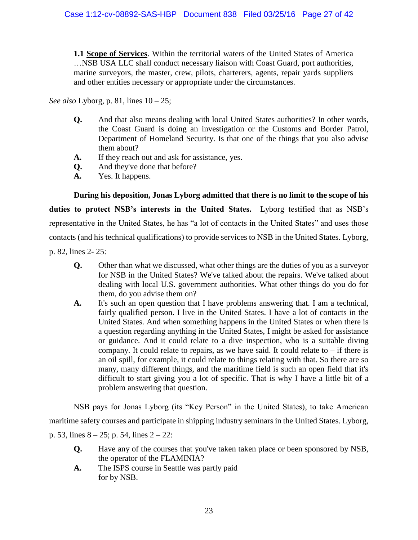**1.1 Scope of Services**. Within the territorial waters of the United States of America …NSB USA LLC shall conduct necessary liaison with Coast Guard, port authorities, marine surveyors, the master, crew, pilots, charterers, agents, repair yards suppliers and other entities necessary or appropriate under the circumstances.

*See also* Lyborg, p. 81, lines 10 – 25;

- **Q.** And that also means dealing with local United States authorities? In other words, the Coast Guard is doing an investigation or the Customs and Border Patrol, Department of Homeland Security. Is that one of the things that you also advise them about?
- **A.** If they reach out and ask for assistance, yes.
- **Q.** And they've done that before?
- **A.** Yes. It happens.

**During his deposition, Jonas Lyborg admitted that there is no limit to the scope of his duties to protect NSB's interests in the United States.** Lyborg testified that as NSB's representative in the United States, he has "a lot of contacts in the United States" and uses those contacts (and his technical qualifications) to provide services to NSB in the United States. Lyborg,

p. 82, lines 2- 25:

- **Q.** Other than what we discussed, what other things are the duties of you as a surveyor for NSB in the United States? We've talked about the repairs. We've talked about dealing with local U.S. government authorities. What other things do you do for them, do you advise them on?
- **A.** It's such an open question that I have problems answering that. I am a technical, fairly qualified person. I live in the United States. I have a lot of contacts in the United States. And when something happens in the United States or when there is a question regarding anything in the United States, I might be asked for assistance or guidance. And it could relate to a dive inspection, who is a suitable diving company. It could relate to repairs, as we have said. It could relate to  $-$  if there is an oil spill, for example, it could relate to things relating with that. So there are so many, many different things, and the maritime field is such an open field that it's difficult to start giving you a lot of specific. That is why I have a little bit of a problem answering that question.

NSB pays for Jonas Lyborg (its "Key Person" in the United States), to take American maritime safety courses and participate in shipping industry seminars in the United States. Lyborg, p. 53, lines 8 – 25; p. 54, lines 2 – 22:

- **Q.** Have any of the courses that you've taken taken place or been sponsored by NSB, the operator of the FLAMINIA?
- **A.** The ISPS course in Seattle was partly paid for by NSB.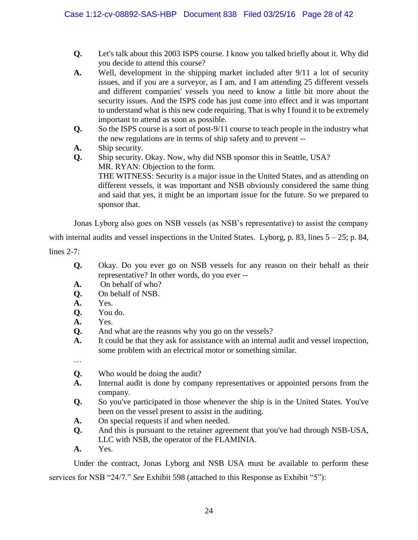- **Q.** Let's talk about this 2003 ISPS course. I know you talked briefly about it. Why did you decide to attend this course?
- **A.** Well, development in the shipping market included after 9/11 a lot of security issues, and if you are a surveyor, as I am, and I am attending 25 different vessels and different companies' vessels you need to know a little bit more about the security issues. And the ISPS code has just come into effect and it was important to understand what is this new code requiring. That is why I found it to be extremely important to attend as soon as possible.
- **Q.** So the ISPS course is a sort of post-9/11 course to teach people in the industry what the new regulations are in terms of ship safety and to prevent --
- **A.** Ship security.
- **Q.** Ship security. Okay. Now, why did NSB sponsor this in Seattle, USA? MR. RYAN: Objection to the form.

THE WITNESS: Security is a major issue in the United States, and as attending on different vessels, it was important and NSB obviously considered the same thing and said that yes, it might be an important issue for the future. So we prepared to sponsor that.

Jonas Lyborg also goes on NSB vessels (as NSB's representative) to assist the company

with internal audits and vessel inspections in the United States. Lyborg, p. 83, lines  $5 - 25$ ; p. 84,

lines 2-7:

- **Q.** Okay. Do you ever go on NSB vessels for any reason on their behalf as their representative? In other words, do you ever --
- **A.** On behalf of who?
- **Q.** On behalf of NSB.
- **A.** Yes.
- **Q.** You do.
- **A.** Yes.
- **Q.** And what are the reasons why you go on the vessels?
- **A.** It could be that they ask for assistance with an internal audit and vessel inspection, some problem with an electrical motor or something similar.

…

- **Q.** Who would be doing the audit?
- **A.** Internal audit is done by company representatives or appointed persons from the company.
- **Q.** So you've participated in those whenever the ship is in the United States. You've been on the vessel present to assist in the auditing.
- **A.** On special requests if and when needed.
- **Q.** And this is pursuant to the retainer agreement that you've had through NSB-USA, LLC with NSB, the operator of the FLAMINIA.
- **A.** Yes.

Under the contract, Jonas Lyborg and NSB USA must be available to perform these services for NSB "24/7." *See* Exhibit 598 (attached to this Response as Exhibit "5"):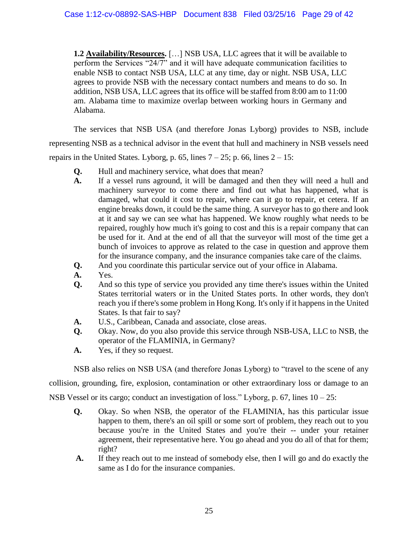**1.2 Availability/Resources.** […] NSB USA, LLC agrees that it will be available to perform the Services "24/7" and it will have adequate communication facilities to enable NSB to contact NSB USA, LLC at any time, day or night. NSB USA, LLC agrees to provide NSB with the necessary contact numbers and means to do so. In addition, NSB USA, LLC agrees that its office will be staffed from 8:00 am to 11:00 am. Alabama time to maximize overlap between working hours in Germany and Alabama.

The services that NSB USA (and therefore Jonas Lyborg) provides to NSB, include representing NSB as a technical advisor in the event that hull and machinery in NSB vessels need repairs in the United States. Lyborg, p. 65, lines  $7 - 25$ ; p. 66, lines  $2 - 15$ :

- **Q.** Hull and machinery service, what does that mean?
- **A.** If a vessel runs aground, it will be damaged and then they will need a hull and machinery surveyor to come there and find out what has happened, what is damaged, what could it cost to repair, where can it go to repair, et cetera. If an engine breaks down, it could be the same thing. A surveyor has to go there and look at it and say we can see what has happened. We know roughly what needs to be repaired, roughly how much it's going to cost and this is a repair company that can be used for it. And at the end of all that the surveyor will most of the time get a bunch of invoices to approve as related to the case in question and approve them for the insurance company, and the insurance companies take care of the claims.
- **Q.** And you coordinate this particular service out of your office in Alabama.
- **A.** Yes.
- **Q.** And so this type of service you provided any time there's issues within the United States territorial waters or in the United States ports. In other words, they don't reach you if there's some problem in Hong Kong. It's only if it happens in the United States. Is that fair to say?
- **A.** U.S., Caribbean, Canada and associate, close areas.
- **Q.** Okay. Now, do you also provide this service through NSB-USA, LLC to NSB, the operator of the FLAMINIA, in Germany?
- **A.** Yes, if they so request.

NSB also relies on NSB USA (and therefore Jonas Lyborg) to "travel to the scene of any

collision, grounding, fire, explosion, contamination or other extraordinary loss or damage to an NSB Vessel or its cargo; conduct an investigation of loss." Lyborg, p. 67, lines 10 – 25:

- **Q.** Okay. So when NSB, the operator of the FLAMINIA, has this particular issue happen to them, there's an oil spill or some sort of problem, they reach out to you because you're in the United States and you're their -- under your retainer agreement, their representative here. You go ahead and you do all of that for them; right?
- **A.** If they reach out to me instead of somebody else, then I will go and do exactly the same as I do for the insurance companies.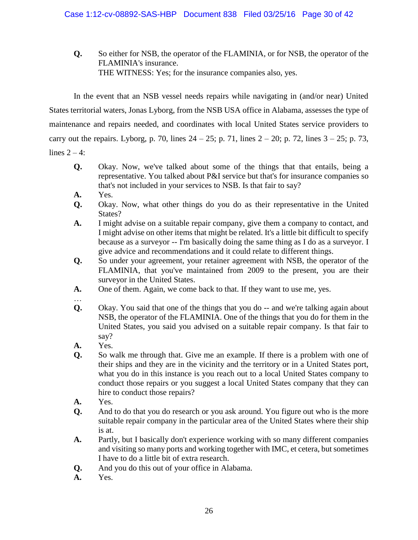**Q.** So either for NSB, the operator of the FLAMINIA, or for NSB, the operator of the FLAMINIA's insurance. THE WITNESS: Yes; for the insurance companies also, yes.

In the event that an NSB vessel needs repairs while navigating in (and/or near) United States territorial waters, Jonas Lyborg, from the NSB USA office in Alabama, assesses the type of maintenance and repairs needed, and coordinates with local United States service providers to carry out the repairs. Lyborg, p. 70, lines  $24 - 25$ ; p. 71, lines  $2 - 20$ ; p. 72, lines  $3 - 25$ ; p. 73, lines  $2 - 4$ :

- **Q.** Okay. Now, we've talked about some of the things that that entails, being a representative. You talked about P&I service but that's for insurance companies so that's not included in your services to NSB. Is that fair to say?
- **A.** Yes.
- **Q.** Okay. Now, what other things do you do as their representative in the United State<sub>s</sub>?
- **A.** I might advise on a suitable repair company, give them a company to contact, and I might advise on other items that might be related. It's a little bit difficult to specify because as a surveyor -- I'm basically doing the same thing as I do as a surveyor. I give advice and recommendations and it could relate to different things.
- **Q.** So under your agreement, your retainer agreement with NSB, the operator of the FLAMINIA, that you've maintained from 2009 to the present, you are their surveyor in the United States.
- **A.** One of them. Again, we come back to that. If they want to use me, yes.
- …
- **Q.** Okay. You said that one of the things that you do -- and we're talking again about NSB, the operator of the FLAMINIA. One of the things that you do for them in the United States, you said you advised on a suitable repair company. Is that fair to say?
- **A.** Yes.
- **Q.** So walk me through that. Give me an example. If there is a problem with one of their ships and they are in the vicinity and the territory or in a United States port, what you do in this instance is you reach out to a local United States company to conduct those repairs or you suggest a local United States company that they can hire to conduct those repairs?
- **A.** Yes.
- **Q.** And to do that you do research or you ask around. You figure out who is the more suitable repair company in the particular area of the United States where their ship is at.
- **A.** Partly, but I basically don't experience working with so many different companies and visiting so many ports and working together with IMC, et cetera, but sometimes I have to do a little bit of extra research.
- **Q.** And you do this out of your office in Alabama.
- **A.** Yes.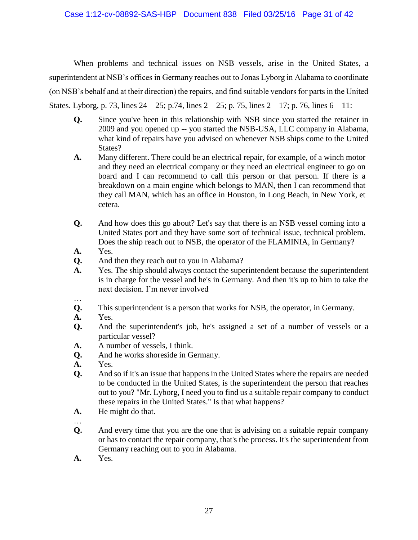When problems and technical issues on NSB vessels, arise in the United States, a superintendent at NSB's offices in Germany reaches out to Jonas Lyborg in Alabama to coordinate (on NSB's behalf and at their direction) the repairs, and find suitable vendors for parts in the United States. Lyborg, p. 73, lines  $24 - 25$ ; p. 74, lines  $2 - 25$ ; p. 75, lines  $2 - 17$ ; p. 76, lines  $6 - 11$ :

- **Q.** Since you've been in this relationship with NSB since you started the retainer in 2009 and you opened up -- you started the NSB-USA, LLC company in Alabama, what kind of repairs have you advised on whenever NSB ships come to the United States?
- **A.** Many different. There could be an electrical repair, for example, of a winch motor and they need an electrical company or they need an electrical engineer to go on board and I can recommend to call this person or that person. If there is a breakdown on a main engine which belongs to MAN, then I can recommend that they call MAN, which has an office in Houston, in Long Beach, in New York, et cetera.
- **Q.** And how does this go about? Let's say that there is an NSB vessel coming into a United States port and they have some sort of technical issue, technical problem. Does the ship reach out to NSB, the operator of the FLAMINIA, in Germany?
- **A.** Yes.
- **Q.** And then they reach out to you in Alabama?
- **A.** Yes. The ship should always contact the superintendent because the superintendent is in charge for the vessel and he's in Germany. And then it's up to him to take the next decision. I'm never involved
- … **Q.** This superintendent is a person that works for NSB, the operator, in Germany.
- **A.** Yes.
- **Q.** And the superintendent's job, he's assigned a set of a number of vessels or a particular vessel?
- **A.** A number of vessels, I think.
- **Q.** And he works shoreside in Germany.
- **A.** Yes.
- **Q.** And so if it's an issue that happens in the United States where the repairs are needed to be conducted in the United States, is the superintendent the person that reaches out to you? "Mr. Lyborg, I need you to find us a suitable repair company to conduct these repairs in the United States." Is that what happens?
- **A.** He might do that.
- …
- **Q.** And every time that you are the one that is advising on a suitable repair company or has to contact the repair company, that's the process. It's the superintendent from Germany reaching out to you in Alabama.
- **A.** Yes.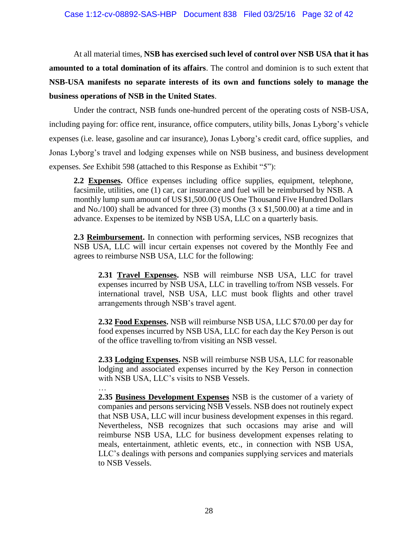At all material times, **NSB has exercised such level of control over NSB USA that it has amounted to a total domination of its affairs**. The control and dominion is to such extent that **NSB-USA manifests no separate interests of its own and functions solely to manage the business operations of NSB in the United States**.

Under the contract, NSB funds one-hundred percent of the operating costs of NSB-USA, including paying for: office rent, insurance, office computers, utility bills, Jonas Lyborg's vehicle expenses (i.e. lease, gasoline and car insurance), Jonas Lyborg's credit card, office supplies, and Jonas Lyborg's travel and lodging expenses while on NSB business, and business development expenses. *See* Exhibit 598 (attached to this Response as Exhibit "5"):

**2.2 Expenses.** Office expenses including office supplies, equipment, telephone, facsimile, utilities, one (1) car, car insurance and fuel will be reimbursed by NSB. A monthly lump sum amount of US \$1,500.00 (US One Thousand Five Hundred Dollars and No./100) shall be advanced for three (3) months  $(3 \times $1,500.00)$  at a time and in advance. Expenses to be itemized by NSB USA, LLC on a quarterly basis.

**2.3 Reimbursement.** In connection with performing services, NSB recognizes that NSB USA, LLC will incur certain expenses not covered by the Monthly Fee and agrees to reimburse NSB USA, LLC for the following:

**2.31 Travel Expenses.** NSB will reimburse NSB USA, LLC for travel expenses incurred by NSB USA, LLC in travelling to/from NSB vessels. For international travel, NSB USA, LLC must book flights and other travel arrangements through NSB's travel agent.

**2.32 Food Expenses.** NSB will reimburse NSB USA, LLC \$70.00 per day for food expenses incurred by NSB USA, LLC for each day the Key Person is out of the office travelling to/from visiting an NSB vessel.

**2.33 Lodging Expenses.** NSB will reimburse NSB USA, LLC for reasonable lodging and associated expenses incurred by the Key Person in connection with NSB USA, LLC's visits to NSB Vessels.

… **2.35 Business Development Expenses** NSB is the customer of a variety of companies and persons servicing NSB Vessels. NSB does not routinely expect that NSB USA, LLC will incur business development expenses in this regard. Nevertheless, NSB recognizes that such occasions may arise and will reimburse NSB USA, LLC for business development expenses relating to meals, entertainment, athletic events, etc., in connection with NSB USA, LLC's dealings with persons and companies supplying services and materials to NSB Vessels.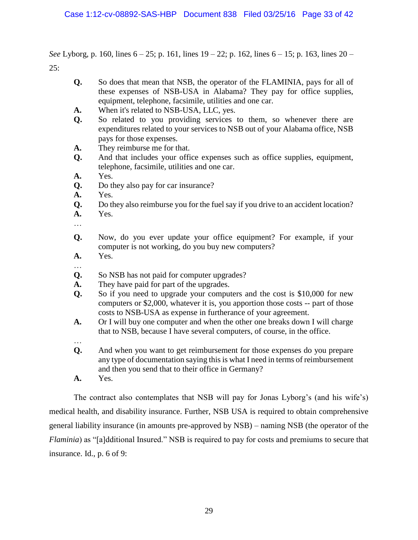*See* Lyborg, p. 160, lines 6 – 25; p. 161, lines 19 – 22; p. 162, lines 6 – 15; p. 163, lines 20 – 25:

- **Q.** So does that mean that NSB, the operator of the FLAMINIA, pays for all of these expenses of NSB-USA in Alabama? They pay for office supplies, equipment, telephone, facsimile, utilities and one car.
- **A.** When it's related to NSB-USA, LLC, yes.
- **Q.** So related to you providing services to them, so whenever there are expenditures related to your services to NSB out of your Alabama office, NSB pays for those expenses.
- **A.** They reimburse me for that.
- **Q.** And that includes your office expenses such as office supplies, equipment, telephone, facsimile, utilities and one car.
- **A.** Yes.
- **Q.** Do they also pay for car insurance?
- **A.** Yes.
- **Q.** Do they also reimburse you for the fuel say if you drive to an accident location?
- **A.** Yes.
- …
- **Q.** Now, do you ever update your office equipment? For example, if your computer is not working, do you buy new computers?
- **A.** Yes. …
- **Q.** So NSB has not paid for computer upgrades?
- **A.** They have paid for part of the upgrades.
- **Q.** So if you need to upgrade your computers and the cost is \$10,000 for new computers or \$2,000, whatever it is, you apportion those costs -- part of those costs to NSB-USA as expense in furtherance of your agreement.
- **A.** Or I will buy one computer and when the other one breaks down I will charge that to NSB, because I have several computers, of course, in the office.
- … **Q.** And when you want to get reimbursement for those expenses do you prepare any type of documentation saying this is what I need in terms of reimbursement and then you send that to their office in Germany?
- **A.** Yes.

The contract also contemplates that NSB will pay for Jonas Lyborg's (and his wife's) medical health, and disability insurance. Further, NSB USA is required to obtain comprehensive general liability insurance (in amounts pre-approved by NSB) – naming NSB (the operator of the *Flaminia*) as "[a]dditional Insured." NSB is required to pay for costs and premiums to secure that insurance. Id., p. 6 of 9: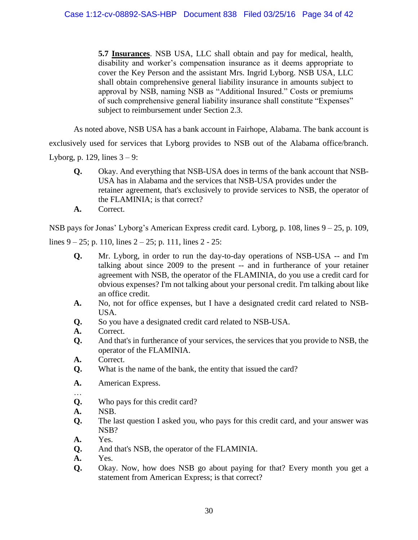**5.7 Insurances**. NSB USA, LLC shall obtain and pay for medical, health, disability and worker's compensation insurance as it deems appropriate to cover the Key Person and the assistant Mrs. Ingrid Lyborg. NSB USA, LLC shall obtain comprehensive general liability insurance in amounts subject to approval by NSB, naming NSB as "Additional Insured." Costs or premiums of such comprehensive general liability insurance shall constitute "Expenses" subject to reimbursement under Section 2.3.

As noted above, NSB USA has a bank account in Fairhope, Alabama. The bank account is exclusively used for services that Lyborg provides to NSB out of the Alabama office/branch. Lyborg, p. 129, lines  $3 - 9$ :

- **Q.** Okay. And everything that NSB-USA does in terms of the bank account that NSB-USA has in Alabama and the services that NSB-USA provides under the retainer agreement, that's exclusively to provide services to NSB, the operator of the FLAMINIA; is that correct?
- **A.** Correct.

NSB pays for Jonas' Lyborg's American Express credit card. Lyborg, p. 108, lines 9 – 25, p. 109,

lines  $9 - 25$ ; p. 110, lines  $2 - 25$ ; p. 111, lines  $2 - 25$ :

- **Q.** Mr. Lyborg, in order to run the day-to-day operations of NSB-USA -- and I'm talking about since 2009 to the present -- and in furtherance of your retainer agreement with NSB, the operator of the FLAMINIA, do you use a credit card for obvious expenses? I'm not talking about your personal credit. I'm talking about like an office credit.
- **A.** No, not for office expenses, but I have a designated credit card related to NSB-USA.
- **Q.** So you have a designated credit card related to NSB-USA.
- **A.** Correct.
- **Q.** And that's in furtherance of your services, the services that you provide to NSB, the operator of the FLAMINIA.
- **A.** Correct.
- **Q.** What is the name of the bank, the entity that issued the card?
- **A.** American Express.
- … **Q.** Who pays for this credit card?
- **A.** NSB.
- **Q.** The last question I asked you, who pays for this credit card, and your answer was NSB?
- **A.** Yes.
- **Q.** And that's NSB, the operator of the FLAMINIA.
- **A.** Yes.
- **Q.** Okay. Now, how does NSB go about paying for that? Every month you get a statement from American Express; is that correct?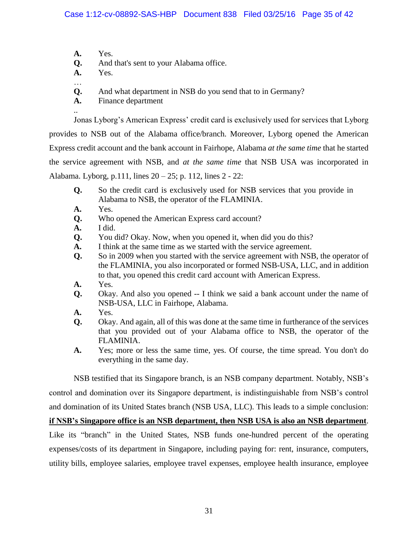- **A.** Yes.
- **Q.** And that's sent to your Alabama office.
- **A.** Yes.

…

..

- **Q.** And what department in NSB do you send that to in Germany?
- **A.** Finance department

Jonas Lyborg's American Express' credit card is exclusively used for services that Lyborg provides to NSB out of the Alabama office/branch. Moreover, Lyborg opened the American Express credit account and the bank account in Fairhope, Alabama *at the same time* that he started the service agreement with NSB, and *at the same time* that NSB USA was incorporated in Alabama. Lyborg, p.111, lines 20 – 25; p. 112, lines 2 - 22:

- **Q.** So the credit card is exclusively used for NSB services that you provide in Alabama to NSB, the operator of the FLAMINIA.
- **A.** Yes.
- **Q.** Who opened the American Express card account?
- **A.** I did.
- **Q.** You did? Okay. Now, when you opened it, when did you do this?
- **A.** I think at the same time as we started with the service agreement.
- **Q.** So in 2009 when you started with the service agreement with NSB, the operator of the FLAMINIA, you also incorporated or formed NSB-USA, LLC, and in addition to that, you opened this credit card account with American Express.
- **A.** Yes.
- **Q.** Okay. And also you opened -- I think we said a bank account under the name of NSB-USA, LLC in Fairhope, Alabama.
- **A.** Yes.
- **Q.** Okay. And again, all of this was done at the same time in furtherance of the services that you provided out of your Alabama office to NSB, the operator of the FLAMINIA.
- **A.** Yes; more or less the same time, yes. Of course, the time spread. You don't do everything in the same day.

NSB testified that its Singapore branch, is an NSB company department. Notably, NSB's

control and domination over its Singapore department, is indistinguishable from NSB's control

and domination of its United States branch (NSB USA, LLC). This leads to a simple conclusion:

**if NSB's Singapore office is an NSB department, then NSB USA is also an NSB department**.

Like its "branch" in the United States, NSB funds one-hundred percent of the operating expenses/costs of its department in Singapore, including paying for: rent, insurance, computers, utility bills, employee salaries, employee travel expenses, employee health insurance, employee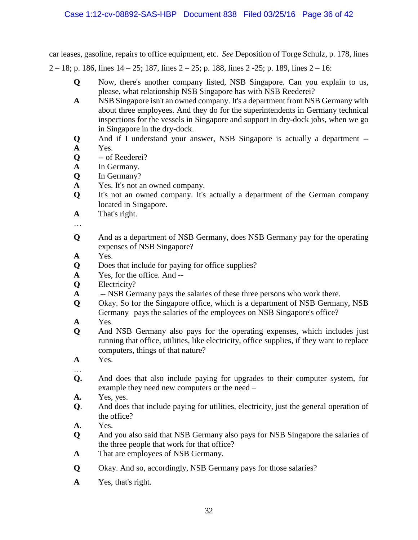car leases, gasoline, repairs to office equipment, etc. *See* Deposition of Torge Schulz, p. 178, lines 2 – 18; p. 186, lines  $14 - 25$ ; 187, lines  $2 - 25$ ; p. 188, lines 2 - 25; p. 189, lines  $2 - 16$ :

- **Q** Now, there's another company listed, NSB Singapore. Can you explain to us, please, what relationship NSB Singapore has with NSB Reederei?
- **A** NSB Singapore isn't an owned company. It's a department from NSB Germany with about three employees. And they do for the superintendents in Germany technical inspections for the vessels in Singapore and support in dry-dock jobs, when we go in Singapore in the dry-dock.
- **Q** And if I understand your answer, NSB Singapore is actually a department -- **A** Yes.
- **Q** -- of Reederei?
- **A** In Germany.
- **Q** In Germany?
- **A** Yes. It's not an owned company.
- **Q** It's not an owned company. It's actually a department of the German company located in Singapore.
- **A** That's right.
- …
- **Q** And as a department of NSB Germany, does NSB Germany pay for the operating expenses of NSB Singapore?
- **A** Yes.
- **Q** Does that include for paying for office supplies?
- **A** Yes, for the office. And --
- **Q** Electricity?
- **A** -- NSB Germany pays the salaries of these three persons who work there.
- **Q** Okay. So for the Singapore office, which is a department of NSB Germany, NSB Germany pays the salaries of the employees on NSB Singapore's office?
- **A** Yes.
- **Q** And NSB Germany also pays for the operating expenses, which includes just running that office, utilities, like electricity, office supplies, if they want to replace computers, things of that nature?
- **A** Yes.
- … **Q.** And does that also include paying for upgrades to their computer system, for example they need new computers or the need –
- **A.** Yes, yes.
- **Q**. And does that include paying for utilities, electricity, just the general operation of the office?
- **A**. Yes.
- **Q** And you also said that NSB Germany also pays for NSB Singapore the salaries of the three people that work for that office?
- **A** That are employees of NSB Germany.
- **Q** Okay. And so, accordingly, NSB Germany pays for those salaries?
- **A** Yes, that's right.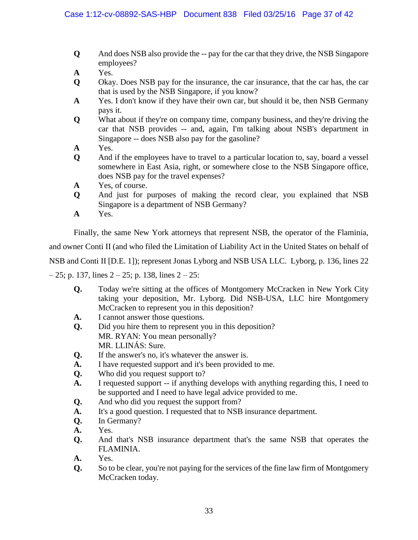- **Q** And does NSB also provide the -- pay for the car that they drive, the NSB Singapore employees?
- **A** Yes.
- **Q** Okay. Does NSB pay for the insurance, the car insurance, that the car has, the car that is used by the NSB Singapore, if you know?
- **A** Yes. I don't know if they have their own car, but should it be, then NSB Germany pays it.
- **Q** What about if they're on company time, company business, and they're driving the car that NSB provides -- and, again, I'm talking about NSB's department in Singapore -- does NSB also pay for the gasoline?
- **A** Yes.
- **Q** And if the employees have to travel to a particular location to, say, board a vessel somewhere in East Asia, right, or somewhere close to the NSB Singapore office, does NSB pay for the travel expenses?
- **A** Yes, of course.
- **Q** And just for purposes of making the record clear, you explained that NSB Singapore is a department of NSB Germany?
- **A** Yes.

Finally, the same New York attorneys that represent NSB, the operator of the Flaminia,

and owner Conti II (and who filed the Limitation of Liability Act in the United States on behalf of

NSB and Conti II [D.E. 1]); represent Jonas Lyborg and NSB USA LLC. Lyborg, p. 136, lines 22

 $-25$ ; p. 137, lines  $2 - 25$ ; p. 138, lines  $2 - 25$ :

- **Q.** Today we're sitting at the offices of Montgomery McCracken in New York City taking your deposition, Mr. Lyborg. Did NSB-USA, LLC hire Montgomery McCracken to represent you in this deposition?
- **A.** I cannot answer those questions.
- **Q.** Did you hire them to represent you in this deposition? MR. RYAN: You mean personally? MR. LLINÁS: Sure.
- **Q.** If the answer's no, it's whatever the answer is.
- **A.** I have requested support and it's been provided to me.
- **Q.** Who did you request support to?
- **A.** I requested support -- if anything develops with anything regarding this, I need to be supported and I need to have legal advice provided to me.
- **Q.** And who did you request the support from?
- **A.** It's a good question. I requested that to NSB insurance department.
- **Q.** In Germany?
- **A.** Yes.
- **Q.** And that's NSB insurance department that's the same NSB that operates the FLAMINIA.
- **A.** Yes.
- **Q.** So to be clear, you're not paying for the services of the fine law firm of Montgomery McCracken today.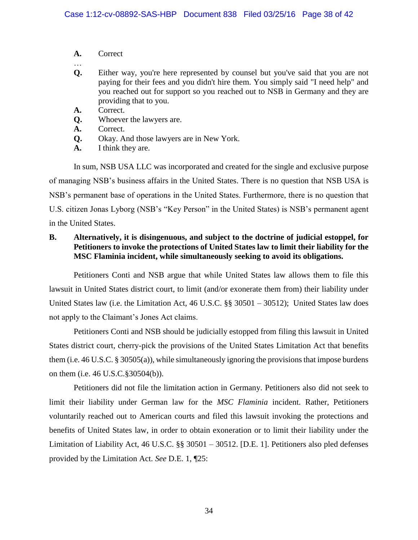- **A.** Correct
- … **Q.** Either way, you're here represented by counsel but you've said that you are not paying for their fees and you didn't hire them. You simply said "I need help" and you reached out for support so you reached out to NSB in Germany and they are providing that to you.
- **A.** Correct.
- **Q.** Whoever the lawyers are.
- **A.** Correct.
- **Q.** Okay. And those lawyers are in New York.
- **A.** I think they are.

In sum, NSB USA LLC was incorporated and created for the single and exclusive purpose of managing NSB's business affairs in the United States. There is no question that NSB USA is NSB's permanent base of operations in the United States. Furthermore, there is no question that U.S. citizen Jonas Lyborg (NSB's "Key Person" in the United States) is NSB's permanent agent in the United States.

# **B. Alternatively, it is disingenuous, and subject to the doctrine of judicial estoppel, for Petitioners to invoke the protections of United States law to limit their liability for the MSC Flaminia incident, while simultaneously seeking to avoid its obligations.**

Petitioners Conti and NSB argue that while United States law allows them to file this lawsuit in United States district court, to limit (and/or exonerate them from) their liability under United States law (i.e. the Limitation Act, 46 U.S.C. §§ 30501 – 30512); United States law does not apply to the Claimant's Jones Act claims.

Petitioners Conti and NSB should be judicially estopped from filing this lawsuit in United States district court, cherry-pick the provisions of the United States Limitation Act that benefits them (i.e. 46 U.S.C. § 30505(a)), while simultaneously ignoring the provisions that impose burdens on them (i.e. 46 U.S.C.§30504(b)).

Petitioners did not file the limitation action in Germany. Petitioners also did not seek to limit their liability under German law for the *MSC Flaminia* incident. Rather, Petitioners voluntarily reached out to American courts and filed this lawsuit invoking the protections and benefits of United States law, in order to obtain exoneration or to limit their liability under the Limitation of Liability Act, 46 U.S.C. §§ 30501 – 30512. [D.E. 1]. Petitioners also pled defenses provided by the Limitation Act. *See* D.E. 1, ¶25: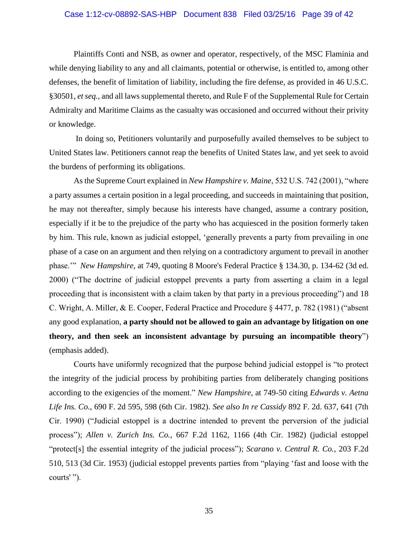### Case 1:12-cv-08892-SAS-HBP Document 838 Filed 03/25/16 Page 39 of 42

Plaintiffs Conti and NSB, as owner and operator, respectively, of the MSC Flaminia and while denying liability to any and all claimants, potential or otherwise, is entitled to, among other defenses, the benefit of limitation of liability, including the fire defense, as provided in 46 U.S.C. §30501, *et seq.,* and all laws supplemental thereto, and Rule F of the Supplemental Rule for Certain Admiralty and Maritime Claims as the casualty was occasioned and occurred without their privity or knowledge.

In doing so, Petitioners voluntarily and purposefully availed themselves to be subject to United States law. Petitioners cannot reap the benefits of United States law, and yet seek to avoid the burdens of performing its obligations.

As the Supreme Court explained in *New Hampshire v. Maine*, 532 U.S. 742 (2001), "where a party assumes a certain position in a legal proceeding, and succeeds in maintaining that position, he may not thereafter, simply because his interests have changed, assume a contrary position, especially if it be to the prejudice of the party who has acquiesced in the position formerly taken by him. This rule, known as judicial estoppel, 'generally prevents a party from prevailing in one phase of a case on an argument and then relying on a contradictory argument to prevail in another phase.'" *New Hampshire*, at 749, quoting 8 Moore's Federal Practice § 134.30, p. 134-62 (3d ed. 2000) ("The doctrine of judicial estoppel prevents a party from asserting a claim in a legal proceeding that is inconsistent with a claim taken by that party in a previous proceeding") and 18 C. Wright, A. Miller, & E. Cooper, Federal Practice and Procedure § 4477, p. 782 (1981) ("absent any good explanation, **a party should not be allowed to gain an advantage by litigation on one theory, and then seek an inconsistent advantage by pursuing an incompatible theory**") (emphasis added).

Courts have uniformly recognized that the purpose behind judicial estoppel is "to protect the integrity of the judicial process by prohibiting parties from deliberately changing positions according to the exigencies of the moment." *New Hampshire*, at 749-50 citing *Edwards v. Aetna Life Ins. Co.,* 690 F. 2d 595, 598 (6th Cir. 1982). *See also In re Cassidy* 892 F. 2d. 637, 641 (7th Cir. 1990) ("Judicial estoppel is a doctrine intended to prevent the perversion of the judicial process"); *Allen v. Zurich Ins. Co.,* 667 F.2d 1162, 1166 (4th Cir. 1982) (judicial estoppel "protect[s] the essential integrity of the judicial process"); *Scarano v. Central R. Co.,* 203 F.2d 510, 513 (3d Cir. 1953) (judicial estoppel prevents parties from "playing 'fast and loose with the courts' ").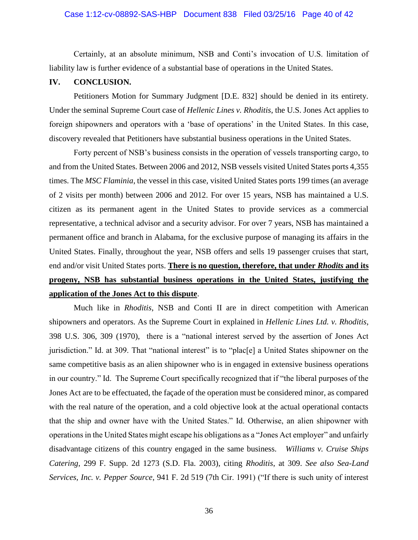#### Case 1:12-cv-08892-SAS-HBP Document 838 Filed 03/25/16 Page 40 of 42

Certainly, at an absolute minimum, NSB and Conti's invocation of U.S. limitation of liability law is further evidence of a substantial base of operations in the United States.

#### **IV. CONCLUSION.**

Petitioners Motion for Summary Judgment [D.E. 832] should be denied in its entirety. Under the seminal Supreme Court case of *Hellenic Lines v. Rhoditis*, the U.S. Jones Act applies to foreign shipowners and operators with a 'base of operations' in the United States. In this case, discovery revealed that Petitioners have substantial business operations in the United States.

Forty percent of NSB's business consists in the operation of vessels transporting cargo, to and from the United States. Between 2006 and 2012, NSB vessels visited United States ports 4,355 times. The *MSC Flaminia*, the vessel in this case, visited United States ports 199 times (an average of 2 visits per month) between 2006 and 2012. For over 15 years, NSB has maintained a U.S. citizen as its permanent agent in the United States to provide services as a commercial representative, a technical advisor and a security advisor. For over 7 years, NSB has maintained a permanent office and branch in Alabama, for the exclusive purpose of managing its affairs in the United States. Finally, throughout the year, NSB offers and sells 19 passenger cruises that start, end and/or visit United States ports. **There is no question, therefore, that under** *Rhodits* **and its progeny, NSB has substantial business operations in the United States, justifying the application of the Jones Act to this dispute**.

Much like in *Rhoditis*, NSB and Conti II are in direct competition with American shipowners and operators. As the Supreme Court in explained in *Hellenic Lines Ltd. v. Rhoditis*, 398 U.S. 306, 309 (1970), there is a "national interest served by the assertion of Jones Act jurisdiction." Id. at 309. That "national interest" is to "plac[e] a United States shipowner on the same competitive basis as an alien shipowner who is in engaged in extensive business operations in our country." Id. The Supreme Court specifically recognized that if "the liberal purposes of the Jones Act are to be effectuated, the façade of the operation must be considered minor, as compared with the real nature of the operation, and a cold objective look at the actual operational contacts that the ship and owner have with the United States." Id. Otherwise, an alien shipowner with operations in the United States might escape his obligations as a "Jones Act employer" and unfairly disadvantage citizens of this country engaged in the same business. *Williams v. Cruise Ships Catering*, 299 F. Supp. 2d 1273 (S.D. Fla. 2003), citing *Rhoditis*, at 309. *See also Sea-Land Services, Inc. v. Pepper Source*, 941 F. 2d 519 (7th Cir. 1991) ("If there is such unity of interest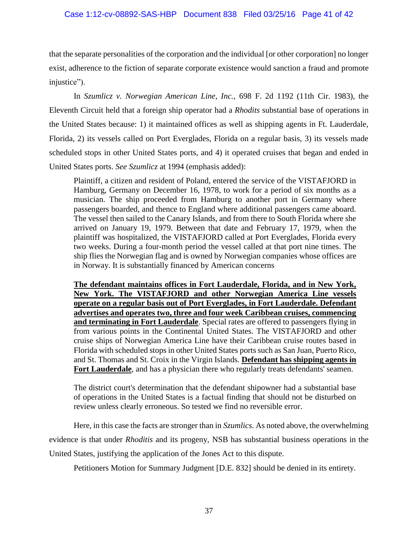#### Case 1:12-cv-08892-SAS-HBP Document 838 Filed 03/25/16 Page 41 of 42

that the separate personalities of the corporation and the individual [or other corporation] no longer exist, adherence to the fiction of separate corporate existence would sanction a fraud and promote injustice").

In *Szumlicz v. Norwegian American Line, Inc.,* 698 F. 2d 1192 (11th Cir. 1983), the Eleventh Circuit held that a foreign ship operator had a *Rhodits* substantial base of operations in the United States because: 1) it maintained offices as well as shipping agents in Ft. Lauderdale, Florida, 2) its vessels called on Port Everglades, Florida on a regular basis, 3) its vessels made scheduled stops in other United States ports, and 4) it operated cruises that began and ended in United States ports. *See Szumlicz* at 1994 (emphasis added):

Plaintiff, a citizen and resident of Poland, entered the service of the VISTAFJORD in Hamburg, Germany on December 16, 1978, to work for a period of six months as a musician. The ship proceeded from Hamburg to another port in Germany where passengers boarded, and thence to England where additional passengers came aboard. The vessel then sailed to the Canary Islands, and from there to South Florida where she arrived on January 19, 1979. Between that date and February 17, 1979, when the plaintiff was hospitalized, the VISTAFJORD called at Port Everglades, Florida every two weeks. During a four-month period the vessel called at that port nine times. The ship flies the Norwegian flag and is owned by Norwegian companies whose offices are in Norway. It is substantially financed by American concerns

**The defendant maintains offices in Fort Lauderdale, Florida, and in New York, New York. The VISTAFJORD and other Norwegian America Line vessels operate on a regular basis out of Port Everglades, in Fort Lauderdale. Defendant advertises and operates two, three and four week Caribbean cruises, commencing and terminating in Fort Lauderdale**. Special rates are offered to passengers flying in from various points in the Continental United States. The VISTAFJORD and other cruise ships of Norwegian America Line have their Caribbean cruise routes based in Florida with scheduled stops in other United States ports such as San Juan, Puerto Rico, and St. Thomas and St. Croix in the Virgin Islands. **Defendant has shipping agents in**  Fort Lauderdale, and has a physician there who regularly treats defendants' seamen.

The district court's determination that the defendant shipowner had a substantial base of operations in the United States is a factual finding that should not be disturbed on review unless clearly erroneous. So tested we find no reversible error.

Here, in this case the facts are stronger than in *Szumlics*. As noted above, the overwhelming evidence is that under *Rhoditis* and its progeny, NSB has substantial business operations in the United States, justifying the application of the Jones Act to this dispute.

Petitioners Motion for Summary Judgment [D.E. 832] should be denied in its entirety.